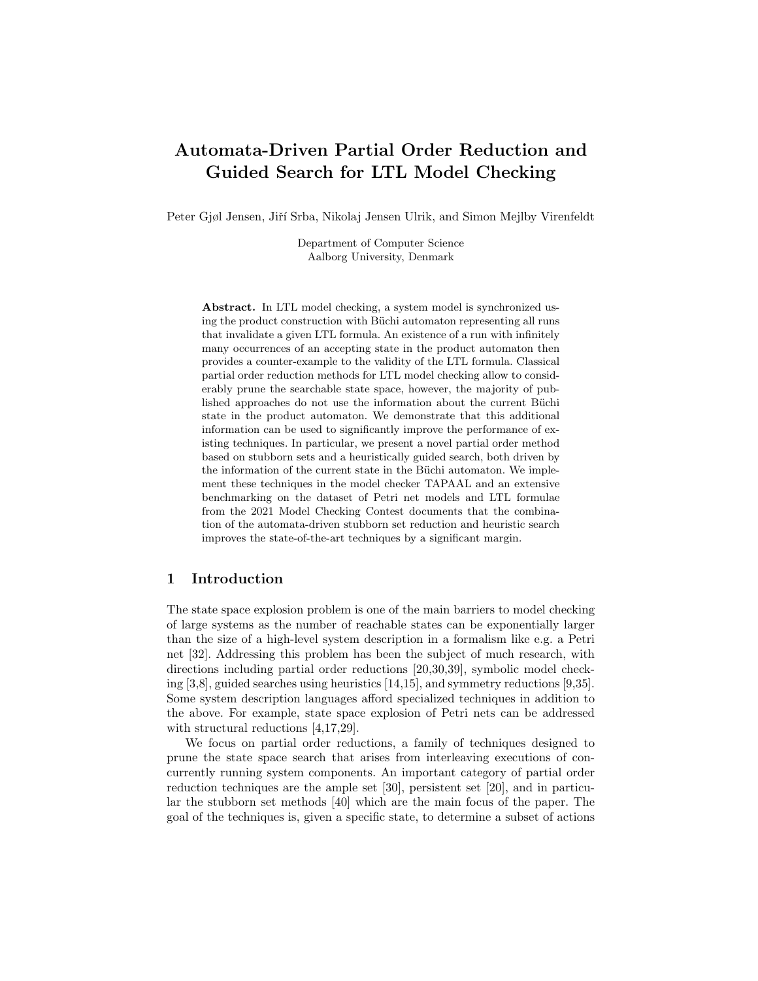# Automata-Driven Partial Order Reduction and Guided Search for LTL Model Checking

Peter Gjøl Jensen, Jiří Srba, Nikolaj Jensen Ulrik, and Simon Mejlby Virenfeldt

Department of Computer Science Aalborg University, Denmark

Abstract. In LTL model checking, a system model is synchronized using the product construction with Büchi automaton representing all runs that invalidate a given LTL formula. An existence of a run with infinitely many occurrences of an accepting state in the product automaton then provides a counter-example to the validity of the LTL formula. Classical partial order reduction methods for LTL model checking allow to considerably prune the searchable state space, however, the majority of published approaches do not use the information about the current Büchi state in the product automaton. We demonstrate that this additional information can be used to significantly improve the performance of existing techniques. In particular, we present a novel partial order method based on stubborn sets and a heuristically guided search, both driven by the information of the current state in the Büchi automaton. We implement these techniques in the model checker TAPAAL and an extensive benchmarking on the dataset of Petri net models and LTL formulae from the 2021 Model Checking Contest documents that the combination of the automata-driven stubborn set reduction and heuristic search improves the state-of-the-art techniques by a significant margin.

# 1 Introduction

The state space explosion problem is one of the main barriers to model checking of large systems as the number of reachable states can be exponentially larger than the size of a high-level system description in a formalism like e.g. a Petri net [\[32\]](#page-22-0). Addressing this problem has been the subject of much research, with directions including partial order reductions [\[20,](#page-21-0)[30,](#page-22-1)[39\]](#page-22-2), symbolic model checking [\[3,](#page-20-0)[8\]](#page-20-1), guided searches using heuristics [\[14,](#page-20-2)[15\]](#page-21-1), and symmetry reductions [\[9,](#page-20-3)[35\]](#page-22-3). Some system description languages afford specialized techniques in addition to the above. For example, state space explosion of Petri nets can be addressed with structural reductions [\[4](#page-20-4)[,17,](#page-21-2)[29\]](#page-21-3).

We focus on partial order reductions, a family of techniques designed to prune the state space search that arises from interleaving executions of concurrently running system components. An important category of partial order reduction techniques are the ample set [\[30\]](#page-22-1), persistent set [\[20\]](#page-21-0), and in particular the stubborn set methods [\[40\]](#page-22-4) which are the main focus of the paper. The goal of the techniques is, given a specific state, to determine a subset of actions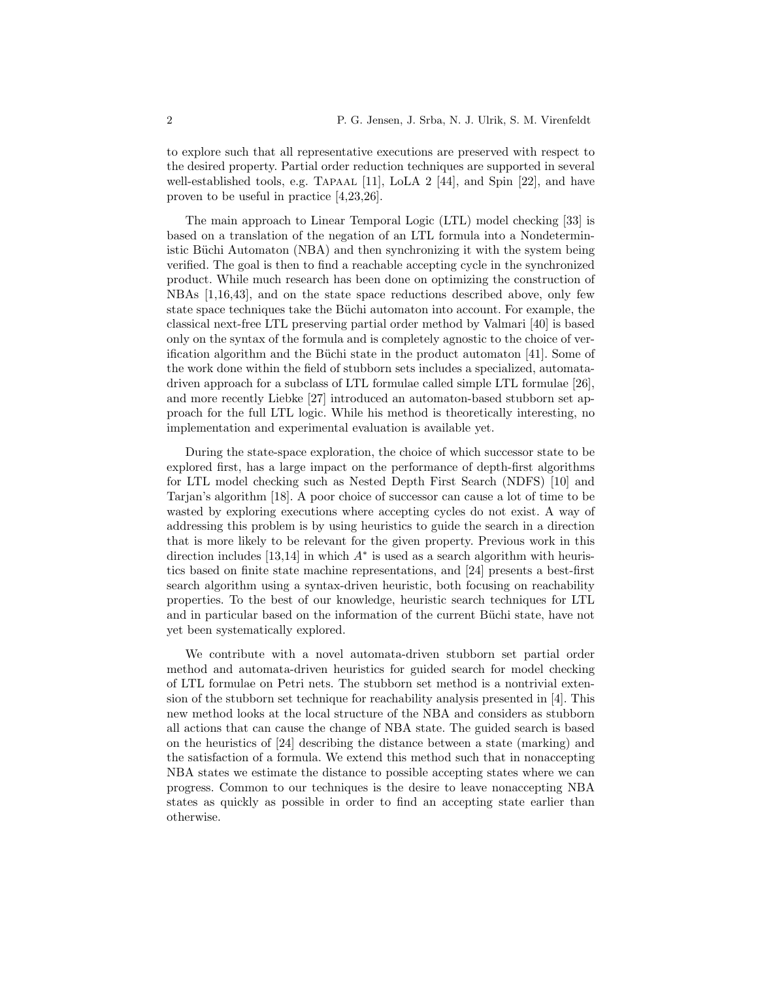to explore such that all representative executions are preserved with respect to the desired property. Partial order reduction techniques are supported in several well-established tools, e.g. TAPAAL [\[11\]](#page-20-5), LoLA 2 [\[44\]](#page-22-5), and Spin [\[22\]](#page-21-4), and have proven to be useful in practice [\[4,](#page-20-4)[23,](#page-21-5)[26\]](#page-21-6).

The main approach to Linear Temporal Logic (LTL) model checking [\[33\]](#page-22-6) is based on a translation of the negation of an LTL formula into a Nondeterministic Büchi Automaton (NBA) and then synchronizing it with the system being verified. The goal is then to find a reachable accepting cycle in the synchronized product. While much research has been done on optimizing the construction of NBAs [\[1,](#page-19-0)[16](#page-21-7)[,43\]](#page-22-7), and on the state space reductions described above, only few state space techniques take the Büchi automaton into account. For example, the classical next-free LTL preserving partial order method by Valmari [\[40\]](#page-22-4) is based only on the syntax of the formula and is completely agnostic to the choice of ver-ification algorithm and the Büchi state in the product automaton [\[41\]](#page-22-8). Some of the work done within the field of stubborn sets includes a specialized, automatadriven approach for a subclass of LTL formulae called simple LTL formulae [\[26\]](#page-21-6), and more recently Liebke [\[27\]](#page-21-8) introduced an automaton-based stubborn set approach for the full LTL logic. While his method is theoretically interesting, no implementation and experimental evaluation is available yet.

During the state-space exploration, the choice of which successor state to be explored first, has a large impact on the performance of depth-first algorithms for LTL model checking such as Nested Depth First Search (NDFS) [\[10\]](#page-20-6) and Tarjan's algorithm [\[18\]](#page-21-9). A poor choice of successor can cause a lot of time to be wasted by exploring executions where accepting cycles do not exist. A way of addressing this problem is by using heuristics to guide the search in a direction that is more likely to be relevant for the given property. Previous work in this direction includes  $[13,14]$  $[13,14]$  in which  $A^*$  is used as a search algorithm with heuristics based on finite state machine representations, and [\[24\]](#page-21-10) presents a best-first search algorithm using a syntax-driven heuristic, both focusing on reachability properties. To the best of our knowledge, heuristic search techniques for LTL and in particular based on the information of the current Büchi state, have not yet been systematically explored.

We contribute with a novel automata-driven stubborn set partial order method and automata-driven heuristics for guided search for model checking of LTL formulae on Petri nets. The stubborn set method is a nontrivial extension of the stubborn set technique for reachability analysis presented in [\[4\]](#page-20-4). This new method looks at the local structure of the NBA and considers as stubborn all actions that can cause the change of NBA state. The guided search is based on the heuristics of [\[24\]](#page-21-10) describing the distance between a state (marking) and the satisfaction of a formula. We extend this method such that in nonaccepting NBA states we estimate the distance to possible accepting states where we can progress. Common to our techniques is the desire to leave nonaccepting NBA states as quickly as possible in order to find an accepting state earlier than otherwise.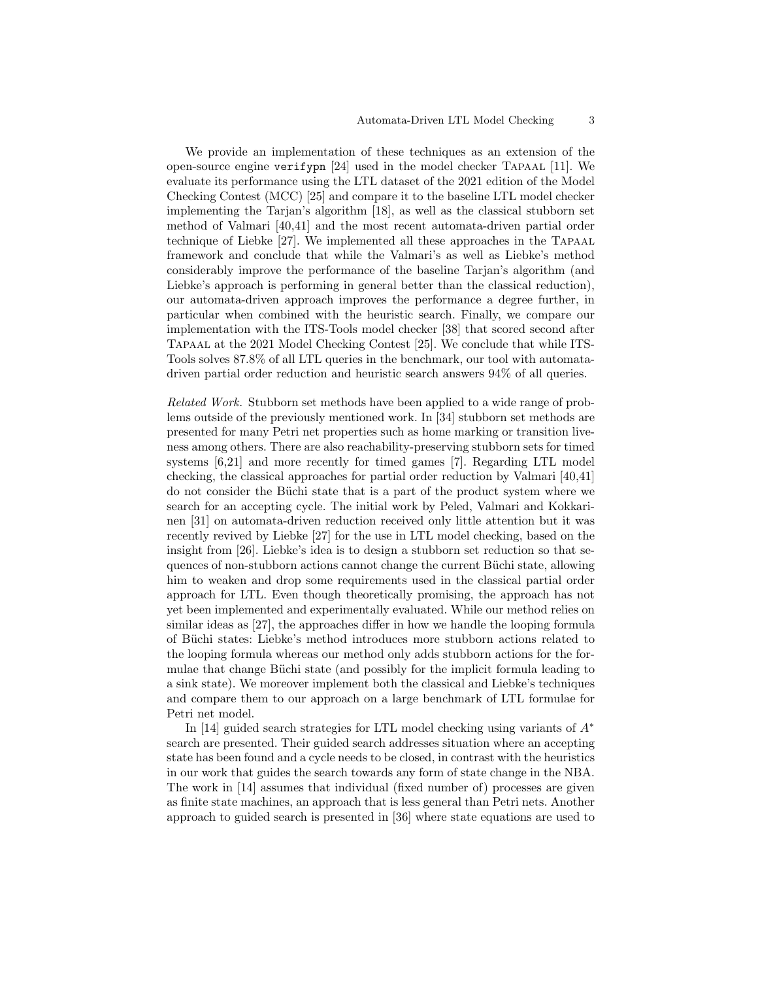We provide an implementation of these techniques as an extension of the open-source engine  $\text{verifypn}$  [\[24\]](#page-21-10) used in the model checker Tapaal [\[11\]](#page-20-5). We evaluate its performance using the LTL dataset of the 2021 edition of the Model Checking Contest (MCC) [\[25\]](#page-21-11) and compare it to the baseline LTL model checker implementing the Tarjan's algorithm [\[18\]](#page-21-9), as well as the classical stubborn set method of Valmari [\[40](#page-22-4)[,41\]](#page-22-8) and the most recent automata-driven partial order technique of Liebke [\[27\]](#page-21-8). We implemented all these approaches in the Tapaal framework and conclude that while the Valmari's as well as Liebke's method considerably improve the performance of the baseline Tarjan's algorithm (and Liebke's approach is performing in general better than the classical reduction), our automata-driven approach improves the performance a degree further, in particular when combined with the heuristic search. Finally, we compare our implementation with the ITS-Tools model checker [\[38\]](#page-22-9) that scored second after Tapaal at the 2021 Model Checking Contest [\[25\]](#page-21-11). We conclude that while ITS-Tools solves 87.8% of all LTL queries in the benchmark, our tool with automatadriven partial order reduction and heuristic search answers 94% of all queries.

Related Work. Stubborn set methods have been applied to a wide range of problems outside of the previously mentioned work. In [\[34\]](#page-22-10) stubborn set methods are presented for many Petri net properties such as home marking or transition liveness among others. There are also reachability-preserving stubborn sets for timed systems [\[6,](#page-20-8)[21\]](#page-21-12) and more recently for timed games [\[7\]](#page-20-9). Regarding LTL model checking, the classical approaches for partial order reduction by Valmari [\[40,](#page-22-4)[41\]](#page-22-8) do not consider the Büchi state that is a part of the product system where we search for an accepting cycle. The initial work by Peled, Valmari and Kokkarinen [\[31\]](#page-22-11) on automata-driven reduction received only little attention but it was recently revived by Liebke [\[27\]](#page-21-8) for the use in LTL model checking, based on the insight from [\[26\]](#page-21-6). Liebke's idea is to design a stubborn set reduction so that sequences of non-stubborn actions cannot change the current Büchi state, allowing him to weaken and drop some requirements used in the classical partial order approach for LTL. Even though theoretically promising, the approach has not yet been implemented and experimentally evaluated. While our method relies on similar ideas as [\[27\]](#page-21-8), the approaches differ in how we handle the looping formula of Büchi states: Liebke's method introduces more stubborn actions related to the looping formula whereas our method only adds stubborn actions for the formulae that change Büchi state (and possibly for the implicit formula leading to a sink state). We moreover implement both the classical and Liebke's techniques and compare them to our approach on a large benchmark of LTL formulae for Petri net model.

In [\[14\]](#page-20-2) guided search strategies for LTL model checking using variants of  $A^*$ search are presented. Their guided search addresses situation where an accepting state has been found and a cycle needs to be closed, in contrast with the heuristics in our work that guides the search towards any form of state change in the NBA. The work in [\[14\]](#page-20-2) assumes that individual (fixed number of) processes are given as finite state machines, an approach that is less general than Petri nets. Another approach to guided search is presented in [\[36\]](#page-22-12) where state equations are used to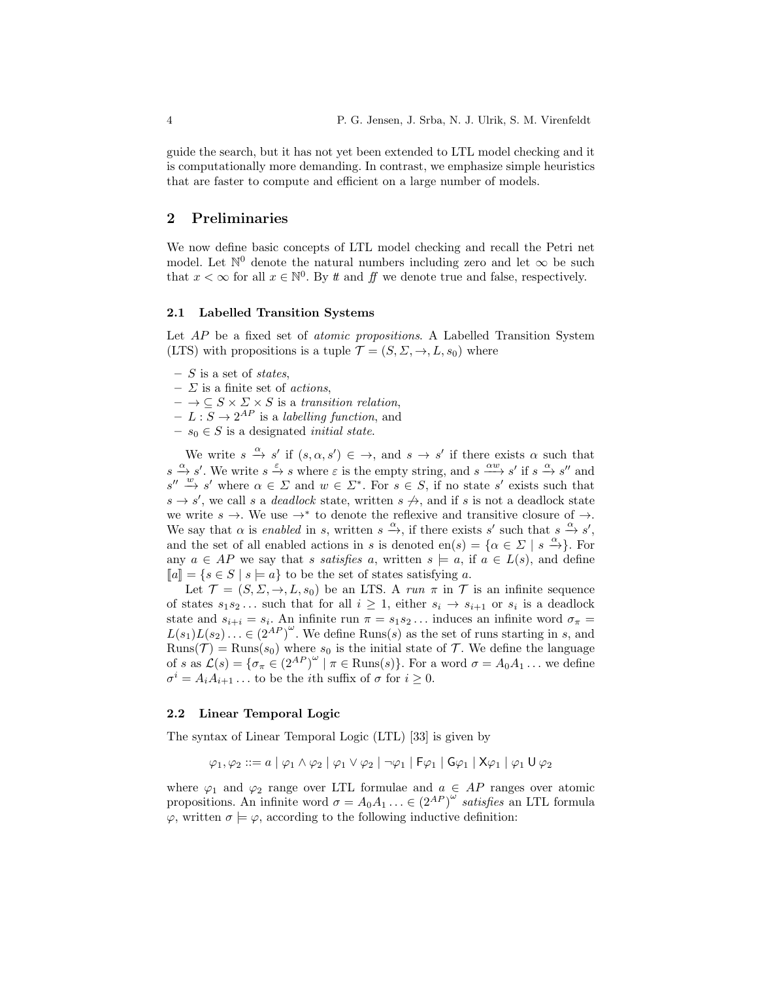guide the search, but it has not yet been extended to LTL model checking and it is computationally more demanding. In contrast, we emphasize simple heuristics that are faster to compute and efficient on a large number of models.

## 2 Preliminaries

We now define basic concepts of LTL model checking and recall the Petri net model. Let  $\mathbb{N}^0$  denote the natural numbers including zero and let  $\infty$  be such that  $x < \infty$  for all  $x \in \mathbb{N}^0$ . By tt and f we denote true and false, respectively.

#### 2.1 Labelled Transition Systems

Let AP be a fixed set of *atomic propositions*. A Labelled Transition System (LTS) with propositions is a tuple  $\mathcal{T} = (S, \Sigma, \rightarrow, L, s_0)$  where

- $S$  is a set of *states*,
- $\Sigma$  is a finite set of *actions*,
- $\rightarrow \subseteq S \times \Sigma \times S$  is a transition relation,
- $L : S \to 2^{AP}$  is a *labelling function*, and
- $s_0 \in S$  is a designated *initial state*.

We write  $s \stackrel{\alpha}{\to} s'$  if  $(s, \alpha, s') \in \to$ , and  $s \to s'$  if there exists  $\alpha$  such that  $s \xrightarrow{\alpha} s'$ . We write  $s \xrightarrow{\varepsilon} s$  where  $\varepsilon$  is the empty string, and  $s \xrightarrow{\alpha w} s'$  if  $s \xrightarrow{\alpha} s''$  and  $s'' \stackrel{w}{\rightarrow} s'$  where  $\alpha \in \Sigma$  and  $w \in \Sigma^*$ . For  $s \in S$ , if no state s' exists such that  $s \to s'$ , we call s a *deadlock* state, written  $s \nleftrightarrow$ , and if s is not a deadlock state we write  $s \to$ . We use  $\to^*$  to denote the reflexive and transitive closure of  $\to$ . We say that  $\alpha$  is enabled in s, written  $s \xrightarrow{\alpha}$ , if there exists s' such that  $s \xrightarrow{\alpha} s'$ , and the set of all enabled actions in s is denoted en(s) = { $\alpha \in \Sigma \mid s \stackrel{\alpha}{\to}$ }. For any  $a \in AP$  we say that s satisfies a, written  $s \models a$ , if  $a \in L(s)$ , and define  $\llbracket a \rrbracket = \{s \in S \mid s \models a\}$  to be the set of states satisfying a.

Let  $\mathcal{T} = (S, \Sigma, \rightarrow, L, s_0)$  be an LTS. A run  $\pi$  in  $\mathcal{T}$  is an infinite sequence of states  $s_1 s_2 \dots$  such that for all  $i \geq 1$ , either  $s_i \rightarrow s_{i+1}$  or  $s_i$  is a deadlock state and  $s_{i+i} = s_i$ . An infinite run  $\pi = s_1 s_2 \dots$  induces an infinite word  $\sigma_{\pi} =$  $L(s_1)L(s_2)... \in (2^{AP})^{\omega}$ . We define Runs(s) as the set of runs starting in s, and Runs( $\mathcal{T}$ ) = Runs( $s_0$ ) where  $s_0$  is the initial state of  $\mathcal{T}$ . We define the language of s as  $\mathcal{L}(s) = \{\sigma_{\pi} \in (2^{AP})^{\omega} \mid \pi \in \text{Runs}(s)\}\.$  For a word  $\sigma = A_0A_1\ldots$  we define  $\sigma^i = A_i A_{i+1} \dots$  to be the *i*th suffix of  $\sigma$  for  $i \geq 0$ .

#### 2.2 Linear Temporal Logic

The syntax of Linear Temporal Logic (LTL) [\[33\]](#page-22-6) is given by

$$
\varphi_1, \varphi_2 ::= a \mid \varphi_1 \land \varphi_2 \mid \varphi_1 \lor \varphi_2 \mid \neg \varphi_1 \mid F\varphi_1 \mid G\varphi_1 \mid X\varphi_1 \mid \varphi_1 \cup \varphi_2
$$

where  $\varphi_1$  and  $\varphi_2$  range over LTL formulae and  $a \in AP$  ranges over atomic propositions. An infinite word  $\sigma = A_0 A_1 ... \in (2^{AP})^\omega$  satisfies an LTL formula  $\varphi$ , written  $\sigma \models \varphi$ , according to the following inductive definition: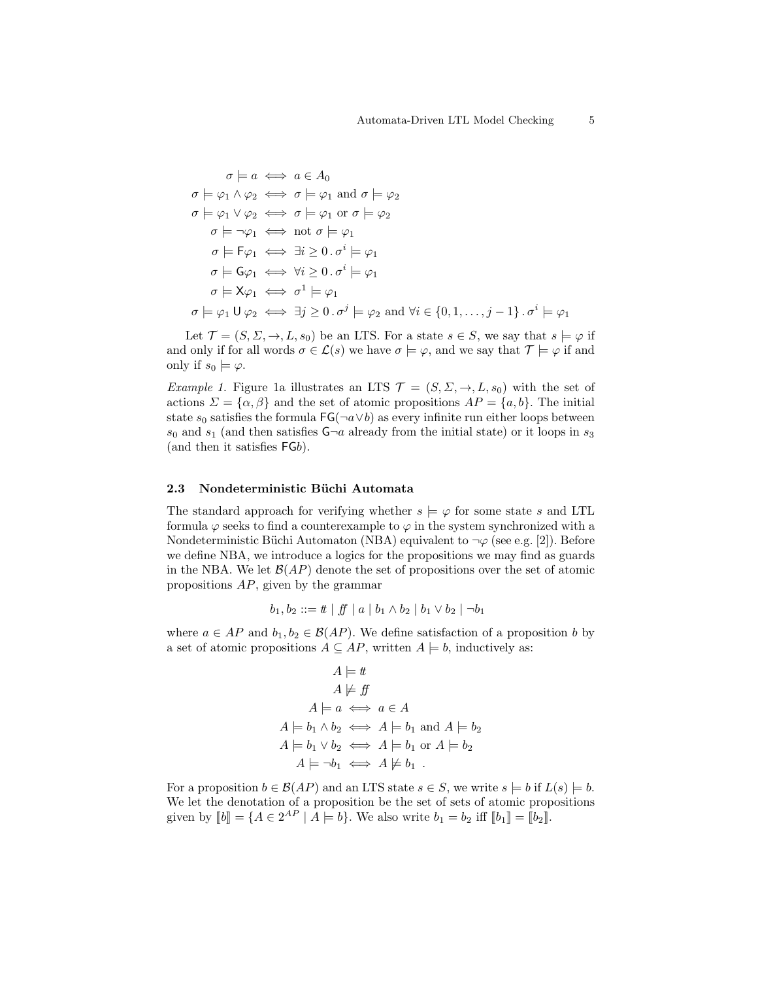$$
\sigma \models a \iff a \in A_0
$$
  
\n
$$
\sigma \models \varphi_1 \land \varphi_2 \iff \sigma \models \varphi_1 \text{ and } \sigma \models \varphi_2
$$
  
\n
$$
\sigma \models \varphi_1 \lor \varphi_2 \iff \sigma \models \varphi_1 \text{ or } \sigma \models \varphi_2
$$
  
\n
$$
\sigma \models \neg \varphi_1 \iff \text{not } \sigma \models \varphi_1
$$
  
\n
$$
\sigma \models \text{F}\varphi_1 \iff \exists i \geq 0 \, . \, \sigma^i \models \varphi_1
$$
  
\n
$$
\sigma \models \text{G}\varphi_1 \iff \forall i \geq 0 \, . \, \sigma^i \models \varphi_1
$$
  
\n
$$
\sigma \models \text{X}\varphi_1 \iff \sigma^1 \models \varphi_1
$$
  
\n
$$
\sigma \models \varphi_1 \cup \varphi_2 \iff \exists j \geq 0 \, . \, \sigma^j \models \varphi_2 \text{ and } \forall i \in \{0, 1, \dots, j - 1\} \, . \, \sigma^i \models \varphi_1
$$

Let  $\mathcal{T} = (S, \Sigma, \rightarrow, L, s_0)$  be an LTS. For a state  $s \in S$ , we say that  $s \models \varphi$  if and only if for all words  $\sigma \in \mathcal{L}(s)$  we have  $\sigma \models \varphi$ , and we say that  $\mathcal{T} \models \varphi$  if and only if  $s_0 \models \varphi$ .

Example 1. Figure [1a](#page-5-0) illustrates an LTS  $\mathcal{T} = (S, \Sigma, \rightarrow, L, s_0)$  with the set of actions  $\Sigma = {\alpha, \beta}$  and the set of atomic propositions  $AP = {a, b}$ . The initial state  $s_0$  satisfies the formula  $\mathsf{FG}(\neg a \lor b)$  as every infinite run either loops between  $s_0$  and  $s_1$  (and then satisfies  $\mathsf{G}\neg a$  already from the initial state) or it loops in  $s_3$ (and then it satisfies FGb).

#### 2.3 Nondeterministic Büchi Automata

The standard approach for verifying whether  $s \models \varphi$  for some state s and LTL formula  $\varphi$  seeks to find a counterexample to  $\varphi$  in the system synchronized with a Nondeterministic Büchi Automaton (NBA) equivalent to  $\neg \varphi$  (see e.g. [\[2\]](#page-20-10)). Before we define NBA, we introduce a logics for the propositions we may find as guards in the NBA. We let  $\mathcal{B}(AP)$  denote the set of propositions over the set of atomic propositions AP, given by the grammar

$$
b_1, b_2 ::= t \mid f \mid a \mid b_1 \wedge b_2 \mid b_1 \vee b_2 \mid \neg b_1
$$

where  $a \in AP$  and  $b_1, b_2 \in \mathcal{B}(AP)$ . We define satisfaction of a proposition b by a set of atomic propositions  $A \subseteq AP$ , written  $A \models b$ , inductively as:

$$
A \models t
$$
  
\n
$$
A \not\models ff
$$
  
\n
$$
A \models a \iff a \in A
$$
  
\n
$$
A \models b_1 \land b_2 \iff A \models b_1 \text{ and } A \models b_2
$$
  
\n
$$
A \models b_1 \lor b_2 \iff A \models b_1 \text{ or } A \models b_2
$$
  
\n
$$
A \models \neg b_1 \iff A \not\models b_1.
$$

For a proposition  $b \in \mathcal{B}(AP)$  and an LTS state  $s \in S$ , we write  $s \models b$  if  $L(s) \models b$ . We let the denotation of a proposition be the set of sets of atomic propositions given by  $[[b]] = \{A \in 2^{AP} \mid A \models b\}$ . We also write  $b_1 = b_2$  iff  $[[b_1]] = [[b_2]]$ .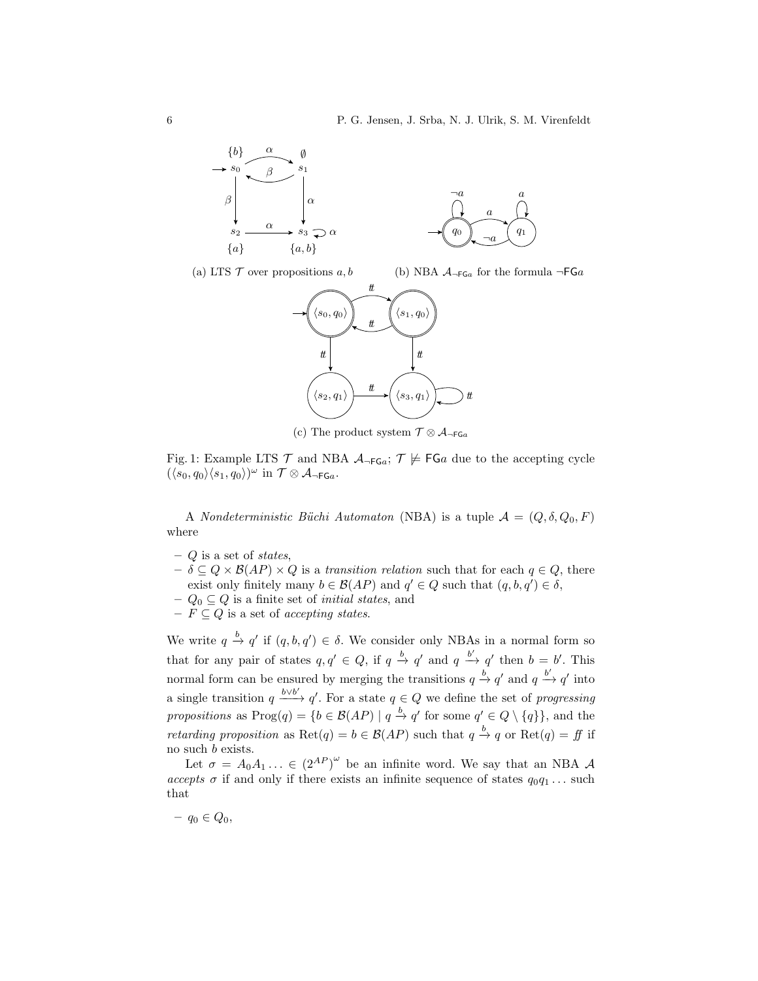<span id="page-5-0"></span>

(a) LTS  $\mathcal T$  over propositions  $a, b$ 



tt



(c) The product system  $\mathcal{T} \otimes \mathcal{A}_{\neg \mathsf{FG}_a}$ 

Fig. 1: Example LTS  $\mathcal T$  and NBA  $\mathcal A_{\neg \mathsf{FG}a}$ ;  $\mathcal T \not\models \mathsf{FG}a$  due to the accepting cycle  $(\langle s_0, q_0 \rangle \langle s_1, q_0 \rangle)^\omega$  in  $\mathcal{T} \otimes \mathcal{A}_{\neg \mathsf{FG}a}$ .

A Nondeterministic Büchi Automaton (NBA) is a tuple  $\mathcal{A} = (Q, \delta, Q_0, F)$ where

- $Q$  is a set of *states*,
- $-\delta \subseteq Q \times \mathcal{B}(AP) \times Q$  is a transition relation such that for each  $q \in Q$ , there exist only finitely many  $b \in \mathcal{B}(AP)$  and  $q' \in Q$  such that  $(q, b, q') \in \delta$ ,
- $Q_0 \subseteq Q$  is a finite set of *initial states*, and
- $F \subseteq Q$  is a set of accepting states.

We write  $q \stackrel{b}{\rightarrow} q'$  if  $(q, b, q') \in \delta$ . We consider only NBAs in a normal form so that for any pair of states  $q, q' \in Q$ , if  $q \stackrel{b}{\to} q'$  and  $q \stackrel{b'}{\to} q'$  then  $b = b'$ . This normal form can be ensured by merging the transitions  $q \stackrel{b}{\rightarrow} q'$  and  $q \stackrel{b'}{\rightarrow} q'$  into a single transition  $q \stackrel{b \vee b'}{\longrightarrow} q'$ . For a state  $q \in Q$  we define the set of progressing propositions as  $\text{Prog}(q) = \{b \in \mathcal{B}(AP) \mid q \stackrel{b}{\to} q' \text{ for some } q' \in Q \setminus \{q\}\}\)$ , and the retarding proposition as  $\text{Ret}(q) = b \in \mathcal{B}(AP)$  such that  $q \stackrel{b}{\to} q$  or  $\text{Ret}(q) = ff$  if no such b exists.

Let  $\sigma = A_0 A_1 \dots \in (2^{AP})^{\omega}$  be an infinite word. We say that an NBA A accepts  $\sigma$  if and only if there exists an infinite sequence of states  $q_0q_1 \ldots$  such that

 $- q_0 \in Q_0$ ,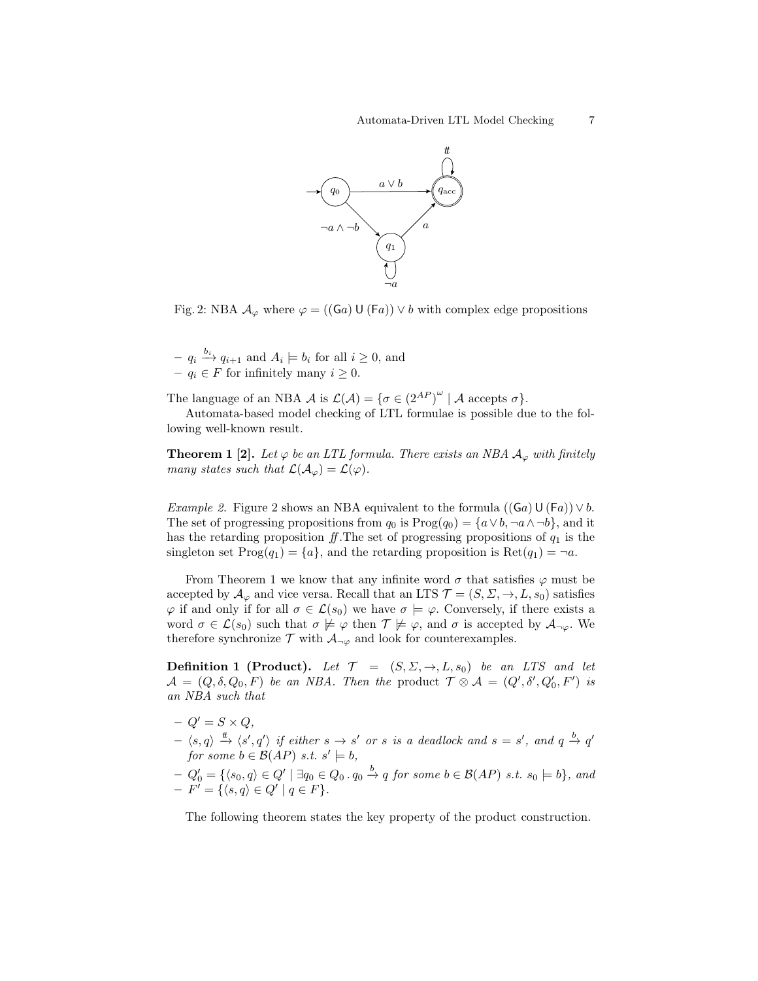<span id="page-6-0"></span>

Fig. 2: NBA  $\mathcal{A}_{\varphi}$  where  $\varphi = ((\mathsf{G}a) \cup (\mathsf{F}a)) \vee b$  with complex edge propositions

 $- q_i \stackrel{b_i}{\longrightarrow} q_{i+1}$  and  $A_i \models b_i$  for all  $i \geq 0$ , and –  $q_i \in F$  for infinitely many  $i \geq 0$ .

The language of an NBA  $\mathcal{A}$  is  $\mathcal{L}(\mathcal{A}) = {\sigma \in (2^{\mathcal{A}P})^{\omega} | \mathcal{A}$  accepts  $\sigma$ .

Automata-based model checking of LTL formulae is possible due to the following well-known result.

<span id="page-6-1"></span>**Theorem 1 [\[2\]](#page-20-10).** Let  $\varphi$  be an LTL formula. There exists an NBA  $\mathcal{A}_{\varphi}$  with finitely many states such that  $\mathcal{L}(\mathcal{A}_{\varphi}) = \mathcal{L}(\varphi)$ .

Example 2. [Figure 2](#page-6-0) shows an NBA equivalent to the formula  $((Ga) \cup (Fa)) \vee b$ . The set of progressing propositions from  $q_0$  is  $\text{Prog}(q_0) = \{a \lor b, \neg a \land \neg b\}$ , and it has the retarding proposition  $ff$ . The set of progressing propositions of  $q_1$  is the singleton set  $\text{Prog}(q_1) = \{a\}$ , and the retarding proposition is  $\text{Ret}(q_1) = \neg a$ .

From [Theorem 1](#page-6-1) we know that any infinite word  $\sigma$  that satisfies  $\varphi$  must be accepted by  $\mathcal{A}_{\varphi}$  and vice versa. Recall that an LTS  $\mathcal{T} = (S, \Sigma, \rightarrow, L, s_0)$  satisfies  $\varphi$  if and only if for all  $\sigma \in \mathcal{L}(s_0)$  we have  $\sigma \models \varphi$ . Conversely, if there exists a word  $\sigma \in \mathcal{L}(s_0)$  such that  $\sigma \not\models \varphi$  then  $\mathcal{T} \not\models \varphi$ , and  $\sigma$  is accepted by  $\mathcal{A}_{\neg \varphi}$ . We therefore synchronize  $\mathcal T$  with  $\mathcal A_{\neg \varphi}$  and look for counterexamples.

<span id="page-6-2"></span>**Definition 1 (Product).** Let  $\mathcal{T} = (S, \Sigma, \rightarrow, L, s_0)$  be an LTS and let  $\mathcal{A} = (Q, \delta, Q_0, F)$  be an NBA. Then the product  $\mathcal{T} \otimes \mathcal{A} = (Q', \delta', Q'_0, F')$  is an NBA such that

- $-Q' = S \times Q,$
- $\langle s, q \rangle \stackrel{t}{\rightarrow} \langle s', q' \rangle$  if either  $s \rightarrow s'$  or s is a deadlock and  $s = s'$ , and  $q \stackrel{b}{\rightarrow} q'$ for some  $b \in \mathcal{B}(AP)$  s.t.  $s' \models b$ ,
- $-Q'_0 = \{ \langle s_0, q \rangle \in Q' \mid \exists q_0 \in Q_0 \ldotp q_0 \stackrel{b}{\rightarrow} q \text{ for some } b \in \mathcal{B}(AP) \text{ s.t. } s_0 \models b \}, \text{ and}$  $- F' = \{ \langle s, q \rangle \in Q' \mid q \in F \}.$

The following theorem states the key property of the product construction.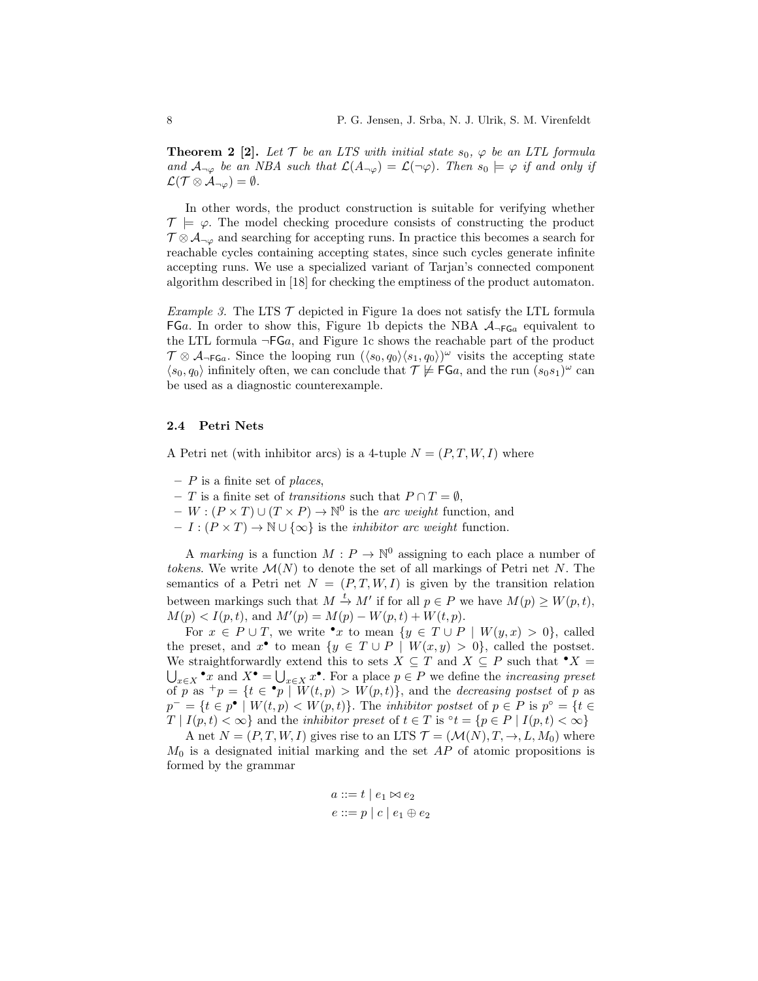**Theorem 2 [\[2\]](#page-20-10).** Let  $\mathcal{T}$  be an LTS with initial state  $s_0$ ,  $\varphi$  be an LTL formula and  $\mathcal{A}_{\neg\varphi}$  be an NBA such that  $\mathcal{L}(A_{\neg\varphi}) = \mathcal{L}(\neg\varphi)$ . Then  $s_0 \models \varphi$  if and only if  $\mathcal{L}(\mathcal{T}\otimes \mathcal{A}_{\neg \varphi})=\emptyset.$ 

In other words, the product construction is suitable for verifying whether  $\mathcal{T} \models \varphi$ . The model checking procedure consists of constructing the product  $T \otimes A_{\neg \varphi}$  and searching for accepting runs. In practice this becomes a search for reachable cycles containing accepting states, since such cycles generate infinite accepting runs. We use a specialized variant of Tarjan's connected component algorithm described in [\[18\]](#page-21-9) for checking the emptiness of the product automaton.

*Example 3.* The LTS  $\mathcal T$  depicted in [Figure 1a](#page-5-0) does not satisfy the LTL formula **FGa.** In order to show this, [Figure 1b](#page-5-0) depicts the NBA  $A_{\neg$ **FGa** equivalent to the LTL formula  $\neg$ FGa, and [Figure 1c](#page-5-0) shows the reachable part of the product  $\mathcal{T} \otimes A_{\neg \mathsf{FG}_a}$ . Since the looping run  $(\langle s_0, q_0 \rangle \langle s_1, q_0 \rangle)^\omega$  visits the accepting state  $\langle s_0, q_0 \rangle$  infinitely often, we can conclude that  $\mathcal{T} \not\models \mathsf{FG}a$ , and the run  $(s_0s_1)^\omega$  can be used as a diagnostic counterexample.

#### 2.4 Petri Nets

A Petri net (with inhibitor arcs) is a 4-tuple  $N = (P, T, W, I)$  where

- $P$  is a finite set of *places*,
- T is a finite set of transitions such that  $P \cap T = \emptyset$ ,
- $W : (P \times T) \cup (T \times P) \rightarrow \mathbb{N}^0$  is the *arc weight* function, and
- $-I:(P\times T)\to\mathbb{N}\cup\{\infty\}$  is the *inhibitor arc weight* function.

A marking is a function  $M: P \to \mathbb{N}^0$  assigning to each place a number of tokens. We write  $\mathcal{M}(N)$  to denote the set of all markings of Petri net N. The semantics of a Petri net  $N = (P, T, W, I)$  is given by the transition relation between markings such that  $M \stackrel{t}{\rightarrow} M'$  if for all  $p \in P$  we have  $M(p) \ge W(p, t)$ ,  $M(p) < I(p, t)$ , and  $M'(p) = M(p) - W(p, t) + W(t, p)$ .

For  $x \in P \cup T$ , we write •x to mean  $\{y \in T \cup P \mid W(y, x) > 0\}$ , called the preset, and  $x^{\bullet}$  to mean  $\{y \in T \cup P \mid W(x, y) > 0\}$ , called the postset. We straightforwardly extend this to sets  $X \subseteq T$  and  $X \subseteq P$  such that  $\bullet X =$  $\bigcup_{x\in X} \bullet x$  and  $X^{\bullet} = \bigcup_{x\in X} x^{\bullet}$ . For a place  $p \in P$  we define the *increasing preset* of p as  $^+p = \{t \in \bullet p \mid W(t,p) > W(p,t)\}\$ , and the *decreasing postset* of p as  $p^- = \{t \in p^{\bullet} \mid W(t,p) < W(p,t)\}.$  The *inhibitor postset* of  $p \in P$  is  $p^{\circ} = \{t \in P\}$  $T | I(p,t) < \infty$  and the *inhibitor preset* of  $t \in T$  is  $\mathcal{L} = \{p \in P | I(p,t) < \infty\}$ 

A net  $N = (P, T, W, I)$  gives rise to an LTS  $\mathcal{T} = (\mathcal{M}(N), T, \rightarrow, L, M_0)$  where  $M_0$  is a designated initial marking and the set  $AP$  of atomic propositions is formed by the grammar

$$
a ::= t \mid e_1 \bowtie e_2
$$
  

$$
e ::= p \mid c \mid e_1 \oplus e_2
$$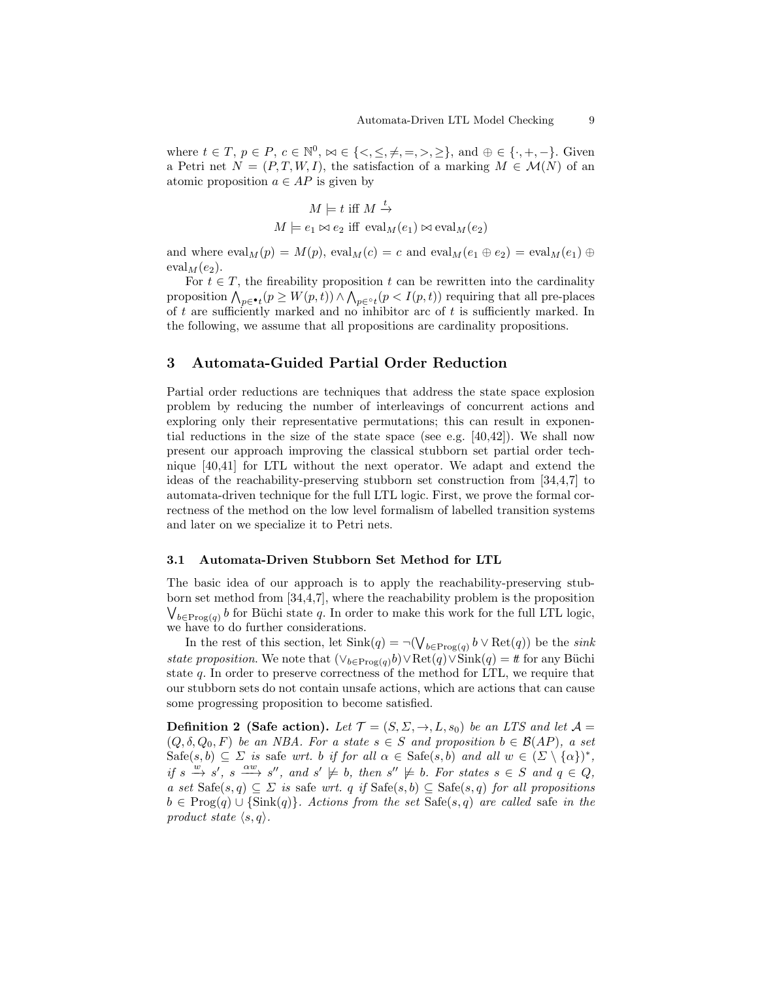where t ∈ T, p ∈ P, c ∈ N 0 , ./ ∈ {<, ≤, 6=, =, >, ≥}, and ⊕ ∈ {·, +, −}. Given a Petri net  $N = (P, T, W, I)$ , the satisfaction of a marking  $M \in \mathcal{M}(N)$  of an atomic proposition  $a \in AP$  is given by

$$
M \models t \text{ iff } M \xrightarrow{t} M \models e_1 \bowtie e_2 \text{ iff } \text{eval}_M(e_1) \bowtie \text{eval}_M(e_2)
$$

and where  $eval_M(p) = M(p)$ ,  $eval_M(c) = c$  and  $eval_M(e_1 \oplus e_2) = eval_M(e_1) \oplus$  $eval_M(e_2)$ .

For  $t \in T$ , the fireability proposition t can be rewritten into the cardinality proposition  $\bigwedge_{p \in \bullet_t} (p \geq W(p, t)) \wedge \bigwedge_{p \in \circ_t} (p < I(p, t))$  requiring that all pre-places of  $t$  are sufficiently marked and no inhibitor arc of  $t$  is sufficiently marked. In the following, we assume that all propositions are cardinality propositions.

## <span id="page-8-0"></span>3 Automata-Guided Partial Order Reduction

Partial order reductions are techniques that address the state space explosion problem by reducing the number of interleavings of concurrent actions and exploring only their representative permutations; this can result in exponential reductions in the size of the state space (see e.g. [\[40,](#page-22-4)[42\]](#page-22-13)). We shall now present our approach improving the classical stubborn set partial order technique [\[40,](#page-22-4)[41\]](#page-22-8) for LTL without the next operator. We adapt and extend the ideas of the reachability-preserving stubborn set construction from [\[34,](#page-22-10)[4,](#page-20-4)[7\]](#page-20-9) to automata-driven technique for the full LTL logic. First, we prove the formal correctness of the method on the low level formalism of labelled transition systems and later on we specialize it to Petri nets.

### 3.1 Automata-Driven Stubborn Set Method for LTL

The basic idea of our approach is to apply the reachability-preserving stubborn set method from [\[34,](#page-22-10)[4](#page-20-4)[,7\]](#page-20-9), where the reachability problem is the proposition  $\bigvee_{b \in \text{Prog}(q)} b$  for Büchi state q. In order to make this work for the full LTL logic, we have to do further considerations.

In the rest of this section, let  $\text{Sink}(q) = \neg(\bigvee_{b \in \text{Prog}(q)} b \vee \text{Ret}(q))$  be the sink state proposition. We note that  $(\vee_{b \in \text{Prog}(q)} b) \vee \text{Ret}(q) \vee \text{Simk}(q) = t$  for any Büchi state  $q$ . In order to preserve correctness of the method for LTL, we require that our stubborn sets do not contain unsafe actions, which are actions that can cause some progressing proposition to become satisfied.

<span id="page-8-1"></span>**Definition 2 (Safe action).** Let  $\mathcal{T} = (S, \Sigma, \rightarrow, L, s_0)$  be an LTS and let  $\mathcal{A} =$  $(Q, \delta, Q_0, F)$  be an NBA. For a state  $s \in S$  and proposition  $b \in \mathcal{B}(AP)$ , a set  $\text{Safe}(s, b) \subseteq \Sigma$  is safe wrt. b if for all  $\alpha \in \text{Safe}(s, b)$  and all  $w \in (\Sigma \setminus \{\alpha\})^*$ , if  $s \stackrel{w}{\to} s'$ ,  $s \stackrel{\alpha w}{\longrightarrow} s''$ , and  $s' \not\models b$ , then  $s'' \not\models b$ . For states  $s \in S$  and  $q \in Q$ , a set  $\text{Safe}(s, q) \subseteq \Sigma$  is safe wrt. q if  $\text{Safe}(s, b) \subseteq \text{Safe}(s, q)$  for all propositions  $b \in \text{Prog}(q) \cup \{\text{Sink}(q)\}\$ . Actions from the set  $\text{Safe}(s,q)$  are called safe in the product state  $\langle s, q \rangle$ .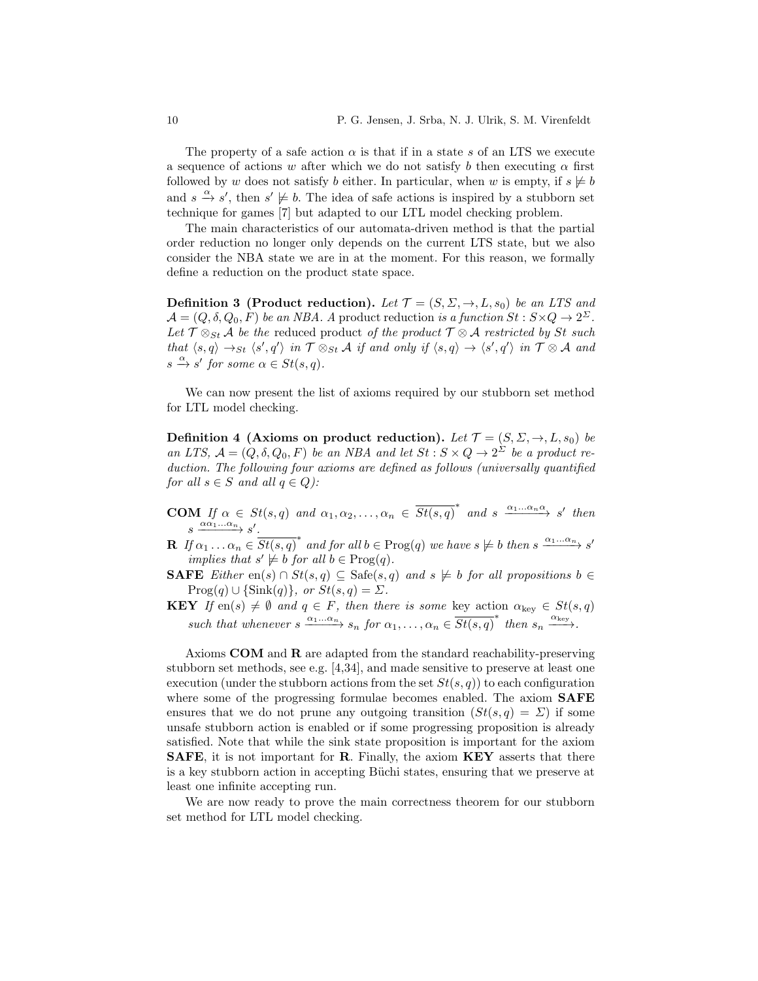The property of a safe action  $\alpha$  is that if in a state s of an LTS we execute a sequence of actions w after which we do not satisfy b then executing  $\alpha$  first followed by w does not satisfy b either. In particular, when w is empty, if  $s \not\models b$ and  $s \stackrel{\alpha}{\to} s'$ , then  $s' \not\models b$ . The idea of safe actions is inspired by a stubborn set technique for games [\[7\]](#page-20-9) but adapted to our LTL model checking problem.

The main characteristics of our automata-driven method is that the partial order reduction no longer only depends on the current LTS state, but we also consider the NBA state we are in at the moment. For this reason, we formally define a reduction on the product state space.

**Definition 3 (Product reduction).** Let  $\mathcal{T} = (S, \Sigma, \rightarrow, L, s_0)$  be an LTS and  $\mathcal{A} = (Q, \delta, Q_0, F)$  be an NBA. A product reduction is a function  $St: S \times Q \rightarrow 2^{\Sigma}$ . Let  $\mathcal{T} \otimes_{St} \mathcal{A}$  be the reduced product of the product  $\mathcal{T} \otimes \mathcal{A}$  restricted by St such that  $\langle s, q \rangle \rightarrow_{St} \langle s', q' \rangle$  in  $\mathcal{T} \otimes_{St} \mathcal{A}$  if and only if  $\langle s, q \rangle \rightarrow \langle s', q' \rangle$  in  $\mathcal{T} \otimes \mathcal{A}$  and  $s \xrightarrow{\alpha} s'$  for some  $\alpha \in St(s,q)$ .

We can now present the list of axioms required by our stubborn set method for LTL model checking.

Definition 4 (Axioms on product reduction). Let  $\mathcal{T} = (S, \Sigma, \rightarrow, L, s_0)$  be an LTS,  $\mathcal{A} = (Q, \delta, Q_0, F)$  be an NBA and let  $St : S \times Q \rightarrow 2^{\Sigma}$  be a product reduction. The following four axioms are defined as follows (universally quantified for all  $s \in S$  and all  $q \in Q$ ):

- **COM** If  $\alpha \in St(s,q)$  and  $\alpha_1, \alpha_2, \ldots, \alpha_n \in \overline{St(s,q)}^*$  and  $s \xrightarrow{\alpha_1 \ldots \alpha_n \alpha} s'$  then  $s \xrightarrow{\alpha\alpha_1...\alpha_n} s'.$
- **R** If  $\alpha_1 \dots \alpha_n \in \overline{St(s, q)}^*$  and for all  $b \in Prog(q)$  we have  $s \not\models b$  then  $s \xrightarrow{\alpha_1 \dots \alpha_n} s'$ implies that  $s' \not\models b$  for all  $b \in \text{Prog}(q)$ .
- **SAFE** Either en(s) ∩  $St(s, q) \subseteq$  Safe(s, q) and s  $\not\models b$  for all propositions  $b \in$  $\text{Prog}(q) \cup \{\text{Sink}(q)\}\text{, or } St(s,q) = \Sigma.$
- **KEY** If en(s)  $\neq \emptyset$  and  $q \in F$ , then there is some key action  $\alpha_{\text{kev}} \in St(s, q)$ such that whenever  $s \xrightarrow{\alpha_1...\alpha_n} s_n$  for  $\alpha_1, ..., \alpha_n \in \overline{St(s,q)}^*$  then  $s_n \xrightarrow{\alpha_{\text{key}}}$ .

Axioms COM and R are adapted from the standard reachability-preserving stubborn set methods, see e.g. [\[4](#page-20-4)[,34\]](#page-22-10), and made sensitive to preserve at least one execution (under the stubborn actions from the set  $St(s, q)$ ) to each configuration where some of the progressing formulae becomes enabled. The axiom SAFE ensures that we do not prune any outgoing transition  $(St(s, q) = \Sigma)$  if some unsafe stubborn action is enabled or if some progressing proposition is already satisfied. Note that while the sink state proposition is important for the axiom SAFE, it is not important for R. Finally, the axiom KEY asserts that there is a key stubborn action in accepting Büchi states, ensuring that we preserve at least one infinite accepting run.

We are now ready to prove the main correctness theorem for our stubborn set method for LTL model checking.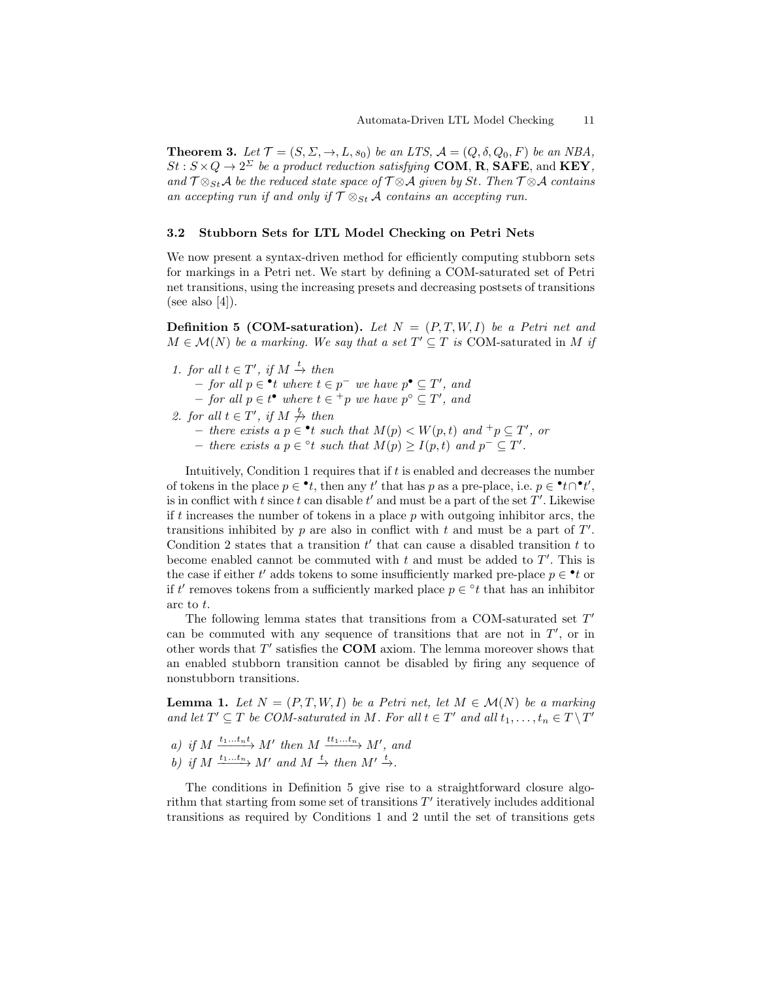<span id="page-10-2"></span>**Theorem 3.** Let  $\mathcal{T} = (S, \Sigma, \rightarrow, L, s_0)$  be an LTS,  $\mathcal{A} = (Q, \delta, Q_0, F)$  be an NBA,  $St: S \times Q \rightarrow 2^{\Sigma}$  be a product reduction satisfying COM, R, SAFE, and KEY, and  $\mathcal{T} \otimes_{St} \mathcal{A}$  be the reduced state space of  $\mathcal{T} \otimes \mathcal{A}$  given by St. Then  $\mathcal{T} \otimes \mathcal{A}$  contains an accepting run if and only if  $\mathcal{T} \otimes_{St} \mathcal{A}$  contains an accepting run.

#### 3.2 Stubborn Sets for LTL Model Checking on Petri Nets

We now present a syntax-driven method for efficiently computing stubborn sets for markings in a Petri net. We start by defining a COM-saturated set of Petri net transitions, using the increasing presets and decreasing postsets of transitions (see also [\[4\]](#page-20-4)).

<span id="page-10-0"></span>**Definition 5 (COM-saturation).** Let  $N = (P, T, W, I)$  be a Petri net and  $M \in \mathcal{M}(N)$  be a marking. We say that a set  $T' \subseteq T$  is COM-saturated in M if

- 1. for all  $t \in T'$ , if  $M \stackrel{t}{\rightarrow}$  then
	- $-$  for all  $p \in \mathbf{^*}$ t where  $t \in p^-$  we have  $p^{\bullet} \subseteq T'$ , and
	- − for all  $p \in t^{\bullet}$  where  $t \in {}^{+}p$  we have  $p^{\circ} \subseteq T'$ , and
- 2. for all  $t \in T'$ , if  $M \not\stackrel{t}{\to}$  then
	- *−* there exists a  $p \in \cdot t$  such that  $M(p) < W(p, t)$  and  $\vdash p \subseteq T'$ , or
	- − there exists a  $p \in \mathcal{F}$  such that  $M(p) \geq I(p,t)$  and  $p^{-} \subseteq T'$ .

Intuitively, Condition 1 requires that if  $t$  is enabled and decreases the number of tokens in the place  $p \in \cdot t$ , then any t' that has p as a pre-place, i.e.  $p \in \cdot t \cap \cdot t'$ , is in conflict with t since t can disable  $t'$  and must be a part of the set  $T'$ . Likewise if t increases the number of tokens in a place  $p$  with outgoing inhibitor arcs, the transitions inhibited by  $p$  are also in conflict with  $t$  and must be a part of  $T'$ . Condition 2 states that a transition  $t'$  that can cause a disabled transition  $t$  to become enabled cannot be commuted with  $t$  and must be added to  $T'$ . This is the case if either  $t'$  adds tokens to some insufficiently marked pre-place  $p \in \text{L}$  or if t' removes tokens from a sufficiently marked place  $p \in \text{A}^{\circ}t$  that has an inhibitor arc to t.

The following lemma states that transitions from a COM-saturated set  $T'$ can be commuted with any sequence of transitions that are not in  $T'$ , or in other words that  $T'$  satisfies the **COM** axiom. The lemma moreover shows that an enabled stubborn transition cannot be disabled by firing any sequence of nonstubborn transitions.

<span id="page-10-1"></span>**Lemma 1.** Let  $N = (P, T, W, I)$  be a Petri net, let  $M \in \mathcal{M}(N)$  be a marking and let  $T' \subseteq T$  be COM-saturated in M. For all  $t \in T'$  and all  $t_1, \ldots, t_n \in T \setminus T'$ 

a) if  $M \xrightarrow{t_1...t_n t} M'$  then  $M \xrightarrow{tt_1...t_n} M'$ , and b) if  $M \xrightarrow{t_1...t_n} M'$  and  $M \xrightarrow{t}$  then  $M' \xrightarrow{t}$ .

The conditions in [Definition 5](#page-10-0) give rise to a straightforward closure algorithm that starting from some set of transitions  $T'$  iteratively includes additional transitions as required by Conditions 1 and 2 until the set of transitions gets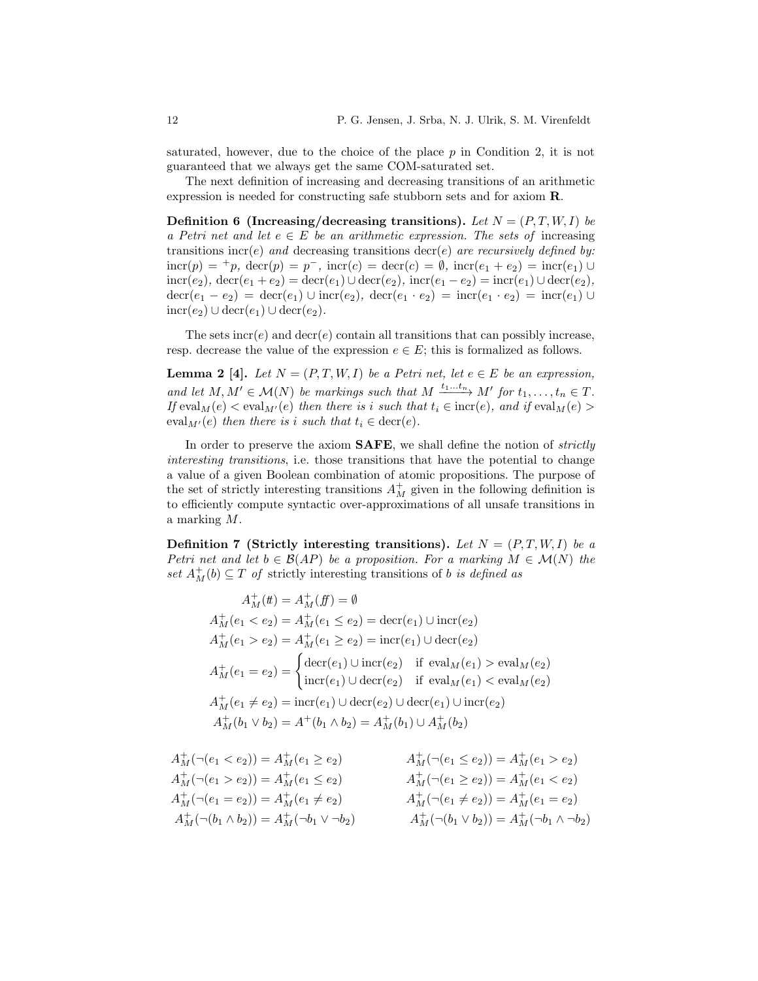saturated, however, due to the choice of the place  $p$  in Condition 2, it is not guaranteed that we always get the same COM-saturated set.

The next definition of increasing and decreasing transitions of an arithmetic expression is needed for constructing safe stubborn sets and for axiom R.

**Definition 6 (Increasing/decreasing transitions).** Let  $N = (P, T, W, I)$  be a Petri net and let  $e \in E$  be an arithmetic expression. The sets of increasing transitions incr(e) and decreasing transitions decr(e) are recursively defined by:  $\text{incr}(p) = {}^{+}p$ ,  $\text{decr}(p) = p^{-}$ ,  $\text{incr}(c) = \text{decr}(c) = ∅$ ,  $\text{incr}(e_1 + e_2) = \text{incr}(e_1) \cup$  $\text{incr}(e_2)$ ,  $\text{decr}(e_1 + e_2) = \text{decr}(e_1) \cup \text{decr}(e_2)$ ,  $\text{incr}(e_1 - e_2) = \text{incr}(e_1) \cup \text{decr}(e_2)$ , decr( $e_1 - e_2$ ) = decr( $e_1$ ) ∪ incr( $e_2$ ), decr( $e_1 \cdot e_2$ ) = incr( $e_1 \cdot e_2$ ) = incr( $e_1$ ) ∪  $\text{incr}(e_2) \cup \text{decr}(e_1) \cup \text{decr}(e_2).$ 

The sets incr(e) and  $\text{decr}(e)$  contain all transitions that can possibly increase, resp. decrease the value of the expression  $e \in E$ ; this is formalized as follows.

<span id="page-11-0"></span>**Lemma 2** [\[4\]](#page-20-4). Let  $N = (P, T, W, I)$  be a Petri net, let  $e \in E$  be an expression, and let  $M, M' \in \mathcal{M}(N)$  be markings such that  $M \xrightarrow{t_1...t_n} M'$  for  $t_1,...,t_n \in T$ . If  $\mathrm{eval}_M(e) < \mathrm{eval}_{M'}(e)$  then there is i such that  $t_i \in \mathrm{incr}(e)$ , and if  $\mathrm{eval}_M(e) >$ eval<sub>M'</sub>(e) then there is i such that  $t_i \in \text{decr}(e)$ .

In order to preserve the axiom **SAFE**, we shall define the notion of *strictly* interesting transitions, i.e. those transitions that have the potential to change a value of a given Boolean combination of atomic propositions. The purpose of the set of strictly interesting transitions  $A_M^+$  given in the following definition is to efficiently compute syntactic over-approximations of all unsafe transitions in a marking M.

**Definition 7** (Strictly interesting transitions). Let  $N = (P, T, W, I)$  be a Petri net and let  $b \in \mathcal{B}(AP)$  be a proposition. For a marking  $M \in \mathcal{M}(N)$  the set  $A_M^+(b) \subseteq T$  of strictly interesting transitions of b is defined as

$$
A_M^+(t) = A_M^+(t) = \emptyset
$$
  
\n
$$
A_M^+(e_1 < e_2) = A_M^+(e_1 \le e_2) = \text{decr}(e_1) \cup \text{incr}(e_2)
$$
  
\n
$$
A_M^+(e_1 > e_2) = A_M^+(e_1 \ge e_2) = \text{incr}(e_1) \cup \text{decr}(e_2)
$$
  
\n
$$
A_M^+(e_1 = e_2) = \begin{cases} \text{decr}(e_1) \cup \text{incr}(e_2) & \text{if } \text{eval}_M(e_1) > \text{eval}_M(e_2) \\ \text{incr}(e_1) \cup \text{decr}(e_2) & \text{if } \text{eval}_M(e_1) < \text{eval}_M(e_2) \end{cases}
$$
  
\n
$$
A_M^+(e_1 \ne e_2) = \text{incr}(e_1) \cup \text{decr}(e_2) \cup \text{decr}(e_1) \cup \text{incr}(e_2)
$$
  
\n
$$
A_M^+(b_1 \vee b_2) = A^+(b_1 \wedge b_2) = A_M^+(b_1) \cup A_M^+(b_2)
$$

$$
A_M^+ (\neg (e_1 \le e_2)) = A_M^+ (e_1 \ge e_2)
$$
  
\n
$$
A_M^+ (\neg (e_1 \le e_2)) = A_M^+ (e_1 \le e_2)
$$
  
\n
$$
A_M^+ (\neg (e_1 \le e_2)) = A_M^+ (e_1 \le e_2)
$$
  
\n
$$
A_M^+ (\neg (e_1 \le e_2)) = A_M^+ (e_1 \ne e_2)
$$
  
\n
$$
A_M^+ (\neg (e_1 \ne e_2)) = A_M^+ (e_1 \ne e_2)
$$
  
\n
$$
A_M^+ (\neg (e_1 \ne e_2)) = A_M^+ (e_1 \ne e_2)
$$
  
\n
$$
A_M^+ (\neg (e_1 \ne e_2)) = A_M^+ (e_1 \ne e_2)
$$
  
\n
$$
A_M^+ (\neg (e_1 \ne e_2)) = A_M^+ (e_1 \ne e_2)
$$
  
\n
$$
A_M^+ (\neg (e_1 \ne e_2)) = A_M^+ (e_1 \ne e_2)
$$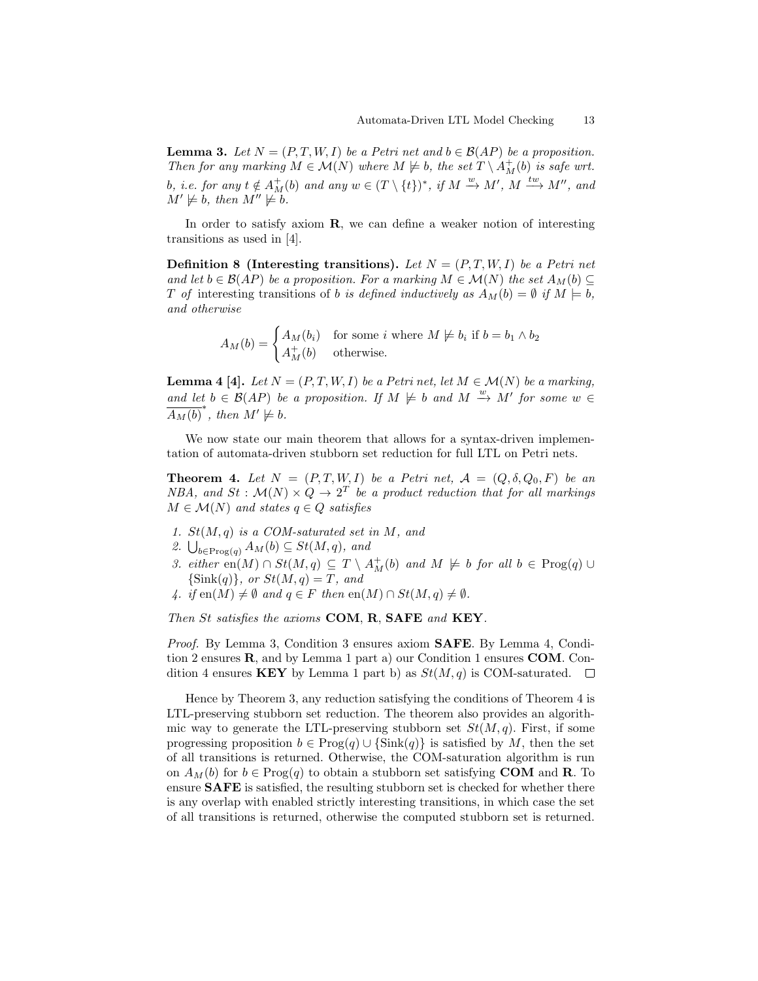<span id="page-12-0"></span>**Lemma 3.** Let  $N = (P, T, W, I)$  be a Petri net and  $b \in \mathcal{B}(AP)$  be a proposition. Then for any marking  $M \in \mathcal{M}(N)$  where  $M \not\models b$ , the set  $T \setminus A_M^+(b)$  is safe wrt. b, i.e. for any  $t \notin A_M^+(b)$  and any  $w \in (T \setminus \{t\})^*$ , if  $M \xrightarrow{w} M'$ ,  $M \xrightarrow{tw} M''$ , and  $M' \not\models b$ , then  $M'' \not\models b$ .

In order to satisfy axiom  $\mathbf{R}$ , we can define a weaker notion of interesting transitions as used in [\[4\]](#page-20-4).

**Definition 8** (Interesting transitions). Let  $N = (P, T, W, I)$  be a Petri net and let  $b \in \mathcal{B}(AP)$  be a proposition. For a marking  $M \in \mathcal{M}(N)$  the set  $A_M(b) \subseteq$ T of interesting transitions of b is defined inductively as  $A_M(b) = \emptyset$  if  $M \models b$ , and otherwise

$$
A_M(b) = \begin{cases} A_M(b_i) & \text{for some } i \text{ where } M \not\models b_i \text{ if } b = b_1 \wedge b_2 \\ A_M^+(b) & \text{otherwise.} \end{cases}
$$

<span id="page-12-2"></span>**Lemma 4 [\[4\]](#page-20-4).** Let  $N = (P, T, W, I)$  be a Petri net, let  $M \in \mathcal{M}(N)$  be a marking, and let  $b \in \mathcal{B}(AP)$  be a proposition. If  $M \not\models b$  and  $M \xrightarrow{w} M'$  for some  $w \in$  $\overline{A_M(b)}^*$ , then  $M' \not\models b$ .

We now state our main theorem that allows for a syntax-driven implementation of automata-driven stubborn set reduction for full LTL on Petri nets.

<span id="page-12-6"></span>**Theorem 4.** Let  $N = (P, T, W, I)$  be a Petri net,  $\mathcal{A} = (Q, \delta, Q_0, F)$  be an NBA, and St :  $\mathcal{M}(N) \times Q \rightarrow 2^T$  be a product reduction that for all markings  $M \in \mathcal{M}(N)$  and states  $q \in Q$  satisfies

- <span id="page-12-4"></span>1.  $St(M, q)$  is a COM-saturated set in M, and
- <span id="page-12-3"></span>2.  $\bigcup_{b \in \text{Prog}(q)} A_M(b) \subseteq St(M, q)$ , and
- <span id="page-12-1"></span>3. either  $en(M) \cap St(M, q) \subseteq T \setminus A_M^+(b)$  and  $M \not\models b$  for all  $b \in Prog(q) \cup$  ${\sink(q)}$ , or  $St(M, q) = T$ , and
- <span id="page-12-5"></span>4. if  $en(M) \neq \emptyset$  and  $q \in F$  then  $en(M) \cap St(M, q) \neq \emptyset$ .

Then St satisfies the axioms COM, R, SAFE and KEY.

Proof. By [Lemma 3,](#page-12-0) Condition [3](#page-12-1) ensures axiom SAFE. By [Lemma 4,](#page-12-2) Condition [2](#page-12-3) ensures R, and by [Lemma 1](#page-10-1) part a) our Condition [1](#page-12-4) ensures COM. Con-dition [4](#page-12-5) ensures **KEY** by Lemma [1](#page-10-1) part b) as  $St(M, q)$  is COM-saturated.  $\Box$ 

Hence by [Theorem 3,](#page-10-2) any reduction satisfying the conditions of Theorem [4](#page-12-6) is LTL-preserving stubborn set reduction. The theorem also provides an algorithmic way to generate the LTL-preserving stubborn set  $St(M, q)$ . First, if some progressing proposition  $b \in \text{Prog}(q) \cup \{\text{Sink}(q)\}\$ is satisfied by M, then the set of all transitions is returned. Otherwise, the COM-saturation algorithm is run on  $A_M(b)$  for  $b \in \text{Prog}(q)$  to obtain a stubborn set satisfying **COM** and **R**. To ensure **SAFE** is satisfied, the resulting stubborn set is checked for whether there is any overlap with enabled strictly interesting transitions, in which case the set of all transitions is returned, otherwise the computed stubborn set is returned.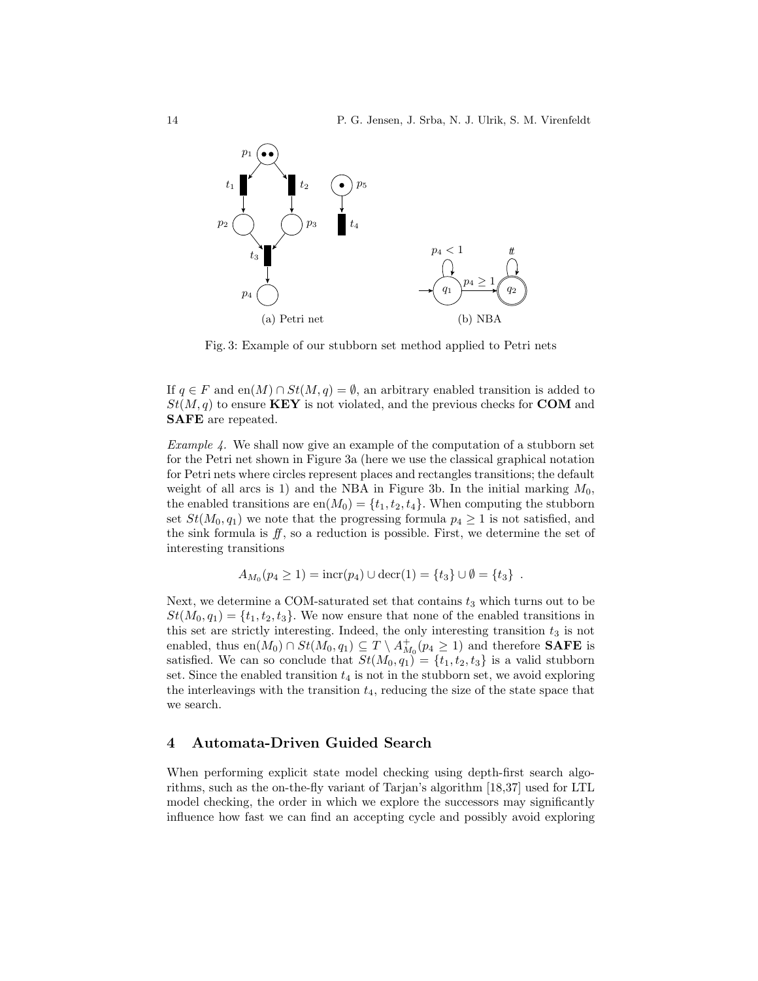<span id="page-13-0"></span>

Fig. 3: Example of our stubborn set method applied to Petri nets

If  $q \in F$  and en $(M) \cap St(M, q) = \emptyset$ , an arbitrary enabled transition is added to  $St(M, q)$  to ensure **KEY** is not violated, and the previous checks for **COM** and SAFE are repeated.

Example 4. We shall now give an example of the computation of a stubborn set for the Petri net shown in [Figure 3a](#page-13-0) (here we use the classical graphical notation for Petri nets where circles represent places and rectangles transitions; the default weight of all arcs is 1) and the NBA in [Figure 3b.](#page-13-0) In the initial marking  $M_0$ , the enabled transitions are  $en(M_0) = \{t_1, t_2, t_4\}$ . When computing the stubborn set  $St(M_0, q_1)$  we note that the progressing formula  $p_4 \geq 1$  is not satisfied, and the sink formula is  $ff$ , so a reduction is possible. First, we determine the set of interesting transitions

$$
A_{M_0}(p_4 \ge 1) = \mathrm{incr}(p_4) \cup \mathrm{decr}(1) = \{t_3\} \cup \emptyset = \{t_3\}.
$$

Next, we determine a COM-saturated set that contains  $t_3$  which turns out to be  $St(M_0, q_1) = \{t_1, t_2, t_3\}.$  We now ensure that none of the enabled transitions in this set are strictly interesting. Indeed, the only interesting transition  $t_3$  is not enabled, thus en $(M_0) \cap St(M_0, q_1) \subseteq T \setminus A_{M_0}^+(p_4 \geq 1)$  and therefore **SAFE** is satisfied. We can so conclude that  $St(M_0, q_1) = \{t_1, t_2, t_3\}$  is a valid stubborn set. Since the enabled transition  $t_4$  is not in the stubborn set, we avoid exploring the interleavings with the transition  $t_4$ , reducing the size of the state space that we search.

# 4 Automata-Driven Guided Search

When performing explicit state model checking using depth-first search algorithms, such as the on-the-fly variant of Tarjan's algorithm [\[18,](#page-21-9)[37\]](#page-22-14) used for LTL model checking, the order in which we explore the successors may significantly influence how fast we can find an accepting cycle and possibly avoid exploring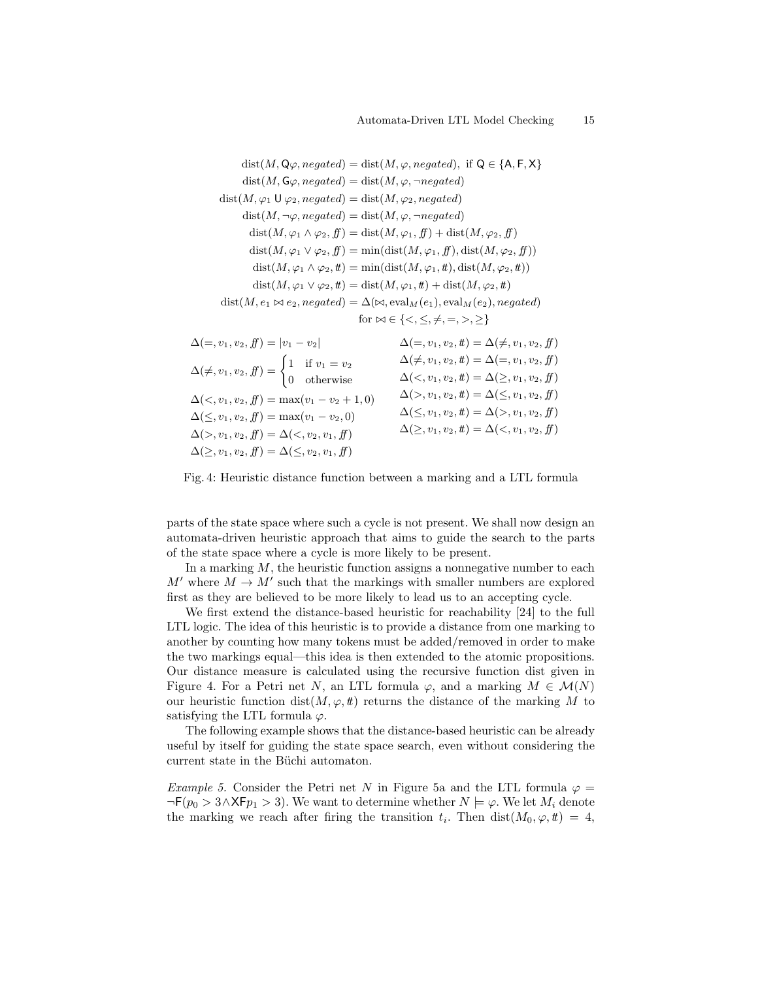```
dist(M, \mathsf{Q}\varphi, negated) = dist(M, \varphi, negated), \text{ if } \mathsf{Q} \in \{\mathsf{A}, \mathsf{F}, \mathsf{X}\}\dist(M, G\varphi, negated) = dist(M, \varphi, \neg negated)dist(M, \varphi_1 \cup \varphi_2, negated) = dist(M, \varphi_2, negated)dist(M, \neg \varphi, negated) = dist(M, \varphi, \neg negated)dist(M, \varphi_1 \wedge \varphi_2, ff) = dist(M, \varphi_1, ff) + dist(M, \varphi_2, ff)dist(M, \varphi_1 \vee \varphi_2, ff) = min(dist(M, \varphi_1, ff), dist(M, \varphi_2, ff))dist(M, \varphi_1 \wedge \varphi_2, t) = min(dist(M, \varphi_1, t), dist(M, \varphi_2, t))dist(M, \varphi_1 \vee \varphi_2, t) = dist(M, \varphi_1, t) + dist(M, \varphi_2, t)dist(M, e_1 \bowtie e_2, negated) = \Delta(\bowtie, eval_M(e_1), eval_M(e_2), negated)for \bowtie \in \{ \lt, , \leq, \neq, =, \gt, , \geq \}\Delta (=, v_1, v_2, ff) = |v_1 - v_2|\Delta(\neq, v_1, v_2, ff) = \begin{cases} 1 & \text{if } v_1 = v_2 \\ 0 & \text{if } v_2 = v_1 \end{cases}0 otherwise
\Delta(\langle, v_1, v_2, ff) = \max(v_1 - v_2 + 1, 0)\Delta(\leq, v_1, v_2, ff) = \max(v_1 - v_2, 0)\Delta(>, v_1, v_2, ff) = \Delta(<, v_2, v_1, ff)\Delta(\geq, v_1, v_2, ff) = \Delta(\leq, v_2, v_1, ff)\Delta (= v_1, v_2, t) = \Delta (\neq, v_1, v_2, ff)\Delta(\neq, v_1, v_2, t) = \Delta(=, v_1, v_2, t)\Delta(<, v_1, v_2, t) = \Delta(\geq, v_1, v_2, ff)\Delta(>, v_1, v_2, t) = \Delta(\leq, v_1, v_2, ff)\Delta(\leq, v_1, v_2, t) = \Delta(\geq, v_1, v_2, t)\Delta(\geq, v_1, v_2, t) = \Delta(\leq, v_1, v_2, t)
```
Fig. 4: Heuristic distance function between a marking and a LTL formula

parts of the state space where such a cycle is not present. We shall now design an automata-driven heuristic approach that aims to guide the search to the parts of the state space where a cycle is more likely to be present.

In a marking  $M$ , the heuristic function assigns a nonnegative number to each  $M'$  where  $M \to M'$  such that the markings with smaller numbers are explored first as they are believed to be more likely to lead us to an accepting cycle.

We first extend the distance-based heuristic for reachability [\[24\]](#page-21-10) to the full LTL logic. The idea of this heuristic is to provide a distance from one marking to another by counting how many tokens must be added/removed in order to make the two markings equal—this idea is then extended to the atomic propositions. Our distance measure is calculated using the recursive function dist given in [Figure 4.](#page-14-0) For a Petri net N, an LTL formula  $\varphi$ , and a marking  $M \in \mathcal{M}(N)$ our heuristic function  $dist(M, \varphi, t)$  returns the distance of the marking M to satisfying the LTL formula  $\varphi$ .

The following example shows that the distance-based heuristic can be already useful by itself for guiding the state space search, even without considering the current state in the Büchi automaton.

Example 5. Consider the Petri net N in [Figure 5a](#page-15-0) and the LTL formula  $\varphi =$  $\neg F(p_0 > 3 \land \mathsf{XF}(p_1 > 3))$ . We want to determine whether  $N \models \varphi$ . We let  $M_i$  denote the marking we reach after firing the transition  $t_i$ . Then  $dist(M_0, \varphi, t) = 4$ ,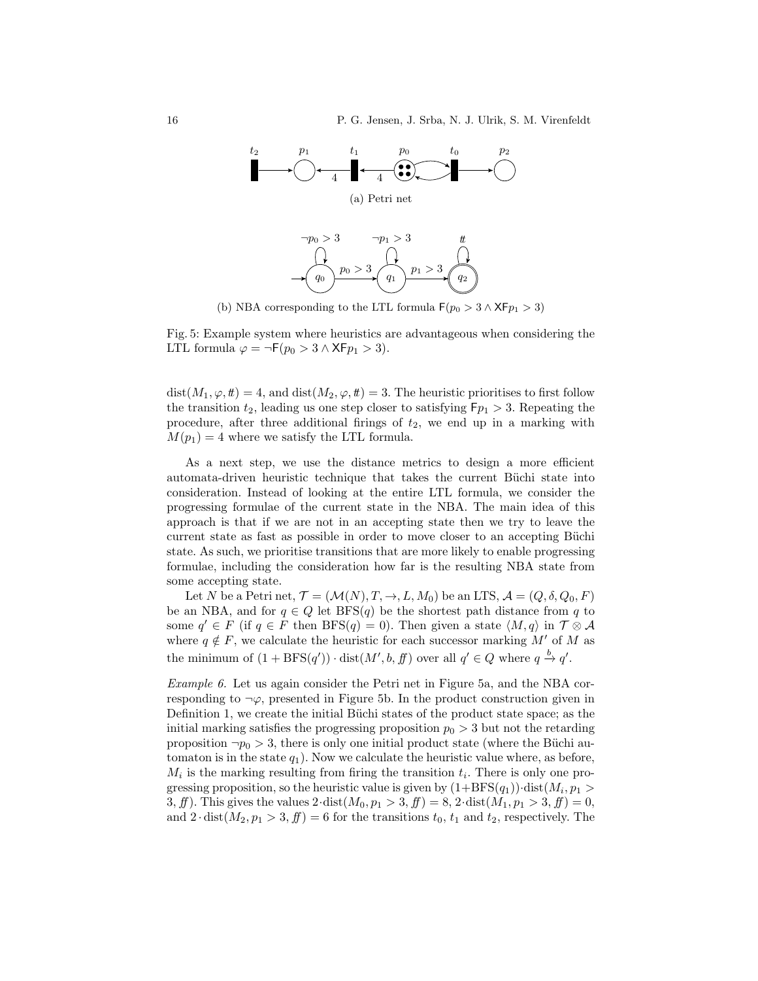<span id="page-15-0"></span>

(b) NBA corresponding to the LTL formula  $F(p_0 > 3 \land \text{XF}p_1 > 3)$ 

Fig. 5: Example system where heuristics are advantageous when considering the LTL formula  $\varphi = \neg F(p_0 > 3 \land \text{XF}_{p_1} > 3).$ 

 $dist(M_1, \varphi, t) = 4$ , and  $dist(M_2, \varphi, t) = 3$ . The heuristic prioritises to first follow the transition  $t_2$ , leading us one step closer to satisfying  $Fp_1 > 3$ . Repeating the procedure, after three additional firings of  $t_2$ , we end up in a marking with  $M(p_1) = 4$  where we satisfy the LTL formula.

As a next step, we use the distance metrics to design a more efficient automata-driven heuristic technique that takes the current Büchi state into consideration. Instead of looking at the entire LTL formula, we consider the progressing formulae of the current state in the NBA. The main idea of this approach is that if we are not in an accepting state then we try to leave the current state as fast as possible in order to move closer to an accepting Büchi state. As such, we prioritise transitions that are more likely to enable progressing formulae, including the consideration how far is the resulting NBA state from some accepting state.

Let N be a Petri net,  $\mathcal{T} = (\mathcal{M}(N), T, \rightarrow, L, M_0)$  be an LTS,  $\mathcal{A} = (Q, \delta, Q_0, F)$ be an NBA, and for  $q \in Q$  let BFS(q) be the shortest path distance from q to some  $q' \in F$  (if  $q \in F$  then  $BFS(q) = 0$ ). Then given a state  $\langle M, q \rangle$  in  $\mathcal{T} \otimes \mathcal{A}$ where  $q \notin F$ , we calculate the heuristic for each successor marking M' of M as the minimum of  $(1 + BFS(q')) \cdot dist(M', b, ff)$  over all  $q' \in Q$  where  $q \stackrel{b}{\rightarrow} q'$ .

Example 6. Let us again consider the Petri net in [Figure 5a,](#page-15-0) and the NBA corresponding to  $\neg \varphi$ , presented in [Figure 5b.](#page-15-0) In the product construction given in [Definition 1,](#page-6-2) we create the initial Büchi states of the product state space; as the initial marking satisfies the progressing proposition  $p_0 > 3$  but not the retarding proposition  $\neg p_0 > 3$ , there is only one initial product state (where the Büchi automaton is in the state  $q_1$ ). Now we calculate the heuristic value where, as before,  $M_i$  is the marking resulting from firing the transition  $t_i$ . There is only one progressing proposition, so the heuristic value is given by  $(1+BFS(q_1))$  dist $(M_i, p_1 >$ 3, ff). This gives the values  $2 \cdot dist(M_0, p_1 > 3, ff) = 8, 2 \cdot dist(M_1, p_1 > 3, ff) = 0$ , and  $2 \cdot dist(M_2, p_1 > 3, ff) = 6$  for the transitions  $t_0, t_1$  and  $t_2$ , respectively. The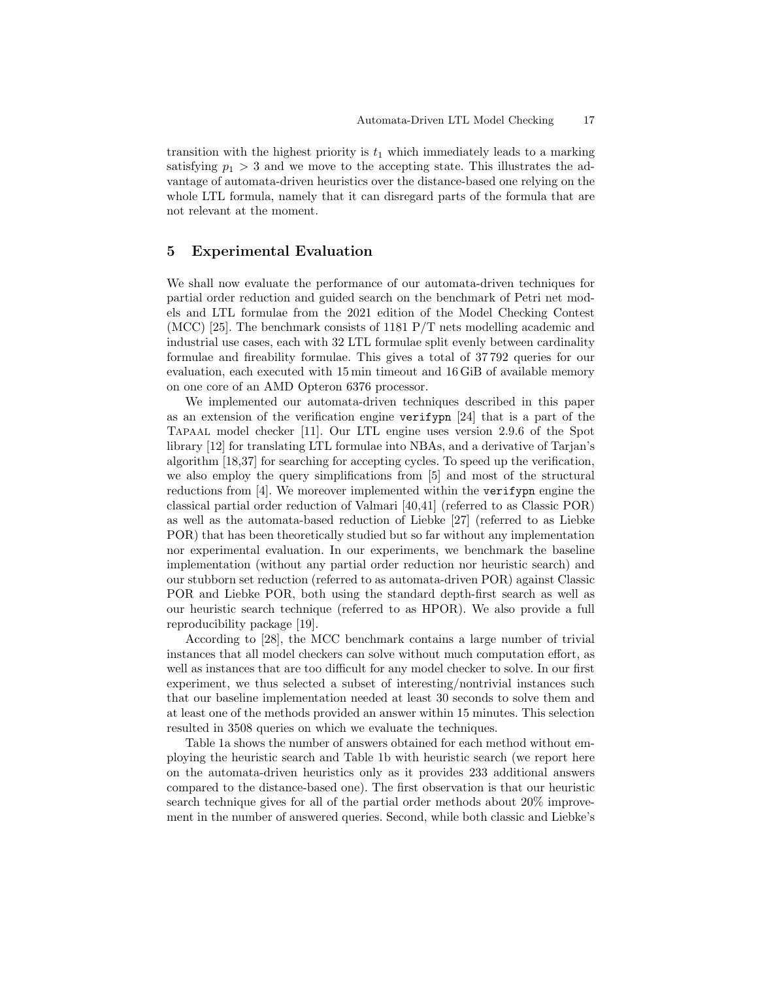transition with the highest priority is  $t_1$  which immediately leads to a marking satisfying  $p_1 > 3$  and we move to the accepting state. This illustrates the advantage of automata-driven heuristics over the distance-based one relying on the whole LTL formula, namely that it can disregard parts of the formula that are not relevant at the moment.

## 5 Experimental Evaluation

We shall now evaluate the performance of our automata-driven techniques for partial order reduction and guided search on the benchmark of Petri net models and LTL formulae from the 2021 edition of the Model Checking Contest (MCC) [\[25\]](#page-21-11). The benchmark consists of 1181 P/T nets modelling academic and industrial use cases, each with 32 LTL formulae split evenly between cardinality formulae and fireability formulae. This gives a total of 37 792 queries for our evaluation, each executed with 15 min timeout and 16 GiB of available memory on one core of an AMD Opteron 6376 processor.

We implemented our automata-driven techniques described in this paper as an extension of the verification engine verifypn [\[24\]](#page-21-10) that is a part of the Tapaal model checker [\[11\]](#page-20-5). Our LTL engine uses version 2.9.6 of the Spot library [\[12\]](#page-20-11) for translating LTL formulae into NBAs, and a derivative of Tarjan's algorithm [\[18](#page-21-9)[,37\]](#page-22-14) for searching for accepting cycles. To speed up the verification, we also employ the query simplifications from [\[5\]](#page-20-12) and most of the structural reductions from [\[4\]](#page-20-4). We moreover implemented within the verifypn engine the classical partial order reduction of Valmari [\[40](#page-22-4)[,41\]](#page-22-8) (referred to as Classic POR) as well as the automata-based reduction of Liebke [\[27\]](#page-21-8) (referred to as Liebke POR) that has been theoretically studied but so far without any implementation nor experimental evaluation. In our experiments, we benchmark the baseline implementation (without any partial order reduction nor heuristic search) and our stubborn set reduction (referred to as automata-driven POR) against Classic POR and Liebke POR, both using the standard depth-first search as well as our heuristic search technique (referred to as HPOR). We also provide a full reproducibility package [\[19\]](#page-21-13).

According to [\[28\]](#page-21-14), the MCC benchmark contains a large number of trivial instances that all model checkers can solve without much computation effort, as well as instances that are too difficult for any model checker to solve. In our first experiment, we thus selected a subset of interesting/nontrivial instances such that our baseline implementation needed at least 30 seconds to solve them and at least one of the methods provided an answer within 15 minutes. This selection resulted in 3508 queries on which we evaluate the techniques.

Table [1a](#page-17-0) shows the number of answers obtained for each method without employing the heuristic search and Table [1b](#page-17-0) with heuristic search (we report here on the automata-driven heuristics only as it provides 233 additional answers compared to the distance-based one). The first observation is that our heuristic search technique gives for all of the partial order methods about 20% improvement in the number of answered queries. Second, while both classic and Liebke's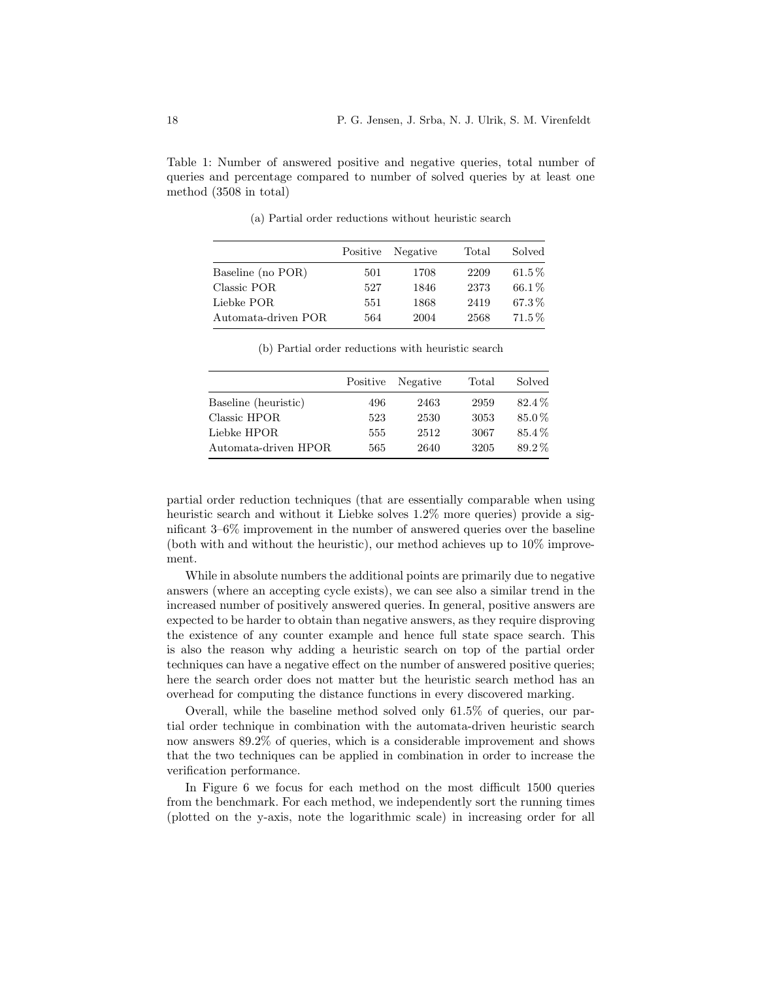<span id="page-17-0"></span>Table 1: Number of answered positive and negative queries, total number of queries and percentage compared to number of solved queries by at least one method (3508 in total)

|                     | Positive | Negative | Total | Solved     |
|---------------------|----------|----------|-------|------------|
| Baseline (no POR)   | 501      | 1708     | 2209  | $61.5\,\%$ |
| Classic POR         | 527      | 1846     | 2373  | 66.1 \%    |
| Liebke POR          | 551      | 1868     | 2419  | 67.3%      |
| Automata-driven POR | 564      | 2004     | 2568  | $71.5\%$   |

(a) Partial order reductions without heuristic search

|                      | Positive | Negative | Total | Solved   |
|----------------------|----------|----------|-------|----------|
| Baseline (heuristic) | 496      | 2463     | 2959  | 82.4%    |
| Classic HPOR         | 523      | 2530     | 3053  | $85.0\%$ |
| Liebke HPOR          | 555      | 2512     | 3067  | 85.4%    |
| Automata-driven HPOR | 565      | 2640     | 3205  | 89.2%    |

(b) Partial order reductions with heuristic search

partial order reduction techniques (that are essentially comparable when using heuristic search and without it Liebke solves 1.2% more queries) provide a significant 3–6% improvement in the number of answered queries over the baseline (both with and without the heuristic), our method achieves up to 10% improvement.

While in absolute numbers the additional points are primarily due to negative answers (where an accepting cycle exists), we can see also a similar trend in the increased number of positively answered queries. In general, positive answers are expected to be harder to obtain than negative answers, as they require disproving the existence of any counter example and hence full state space search. This is also the reason why adding a heuristic search on top of the partial order techniques can have a negative effect on the number of answered positive queries; here the search order does not matter but the heuristic search method has an overhead for computing the distance functions in every discovered marking.

Overall, while the baseline method solved only 61.5% of queries, our partial order technique in combination with the automata-driven heuristic search now answers 89.2% of queries, which is a considerable improvement and shows that the two techniques can be applied in combination in order to increase the verification performance.

In [Figure 6](#page-18-0) we focus for each method on the most difficult 1500 queries from the benchmark. For each method, we independently sort the running times (plotted on the y-axis, note the logarithmic scale) in increasing order for all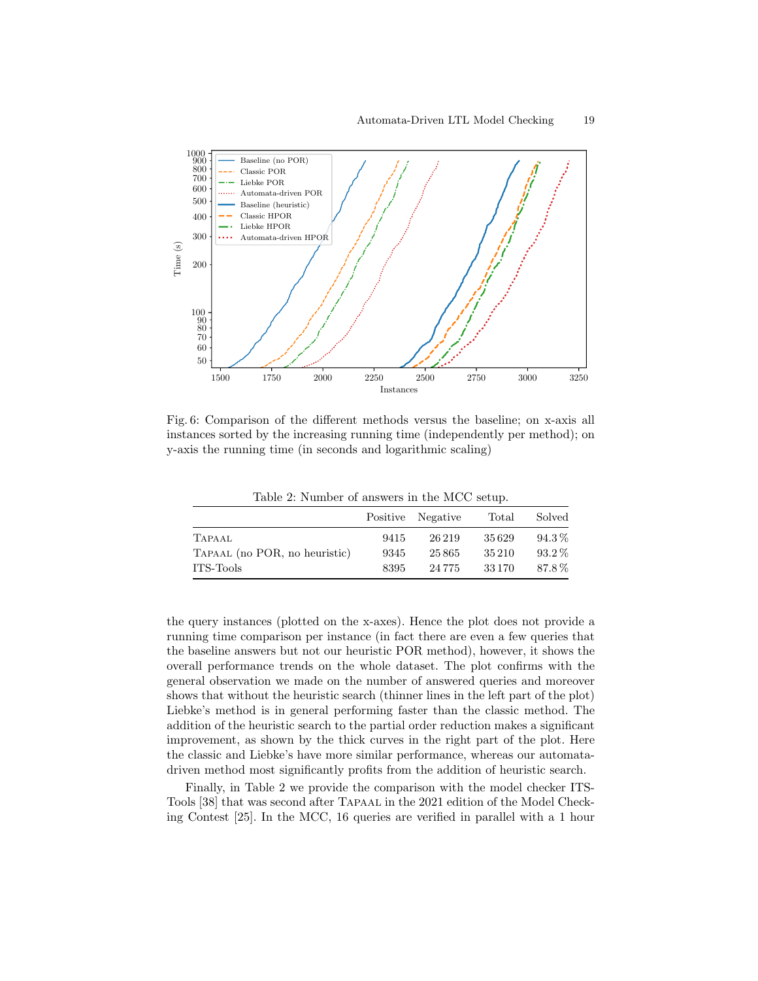<span id="page-18-0"></span>

Fig. 6: Comparison of the different methods versus the baseline; on x-axis all instances sorted by the increasing running time (independently per method); on y-axis the running time (in seconds and logarithmic scaling)

Table 2: Number of answers in the MCC setup.

<span id="page-18-1"></span>

|                               |      | Positive Negative | Total   | Solved   |
|-------------------------------|------|-------------------|---------|----------|
| <b>TAPAAL</b>                 | 9415 | 26 219            | 35629   | $94.3\%$ |
| TAPAAL (no POR, no heuristic) | 9345 | 25865             | 35 210  | $93.2\%$ |
| ITS-Tools                     | 8395 | 24 7 75           | -33 170 | 87.8%    |

the query instances (plotted on the x-axes). Hence the plot does not provide a running time comparison per instance (in fact there are even a few queries that the baseline answers but not our heuristic POR method), however, it shows the overall performance trends on the whole dataset. The plot confirms with the general observation we made on the number of answered queries and moreover shows that without the heuristic search (thinner lines in the left part of the plot) Liebke's method is in general performing faster than the classic method. The addition of the heuristic search to the partial order reduction makes a significant improvement, as shown by the thick curves in the right part of the plot. Here the classic and Liebke's have more similar performance, whereas our automatadriven method most significantly profits from the addition of heuristic search.

Finally, in Table [2](#page-18-1) we provide the comparison with the model checker ITS-Tools [\[38\]](#page-22-9) that was second after Tapaal in the 2021 edition of the Model Checking Contest [\[25\]](#page-21-11). In the MCC, 16 queries are verified in parallel with a 1 hour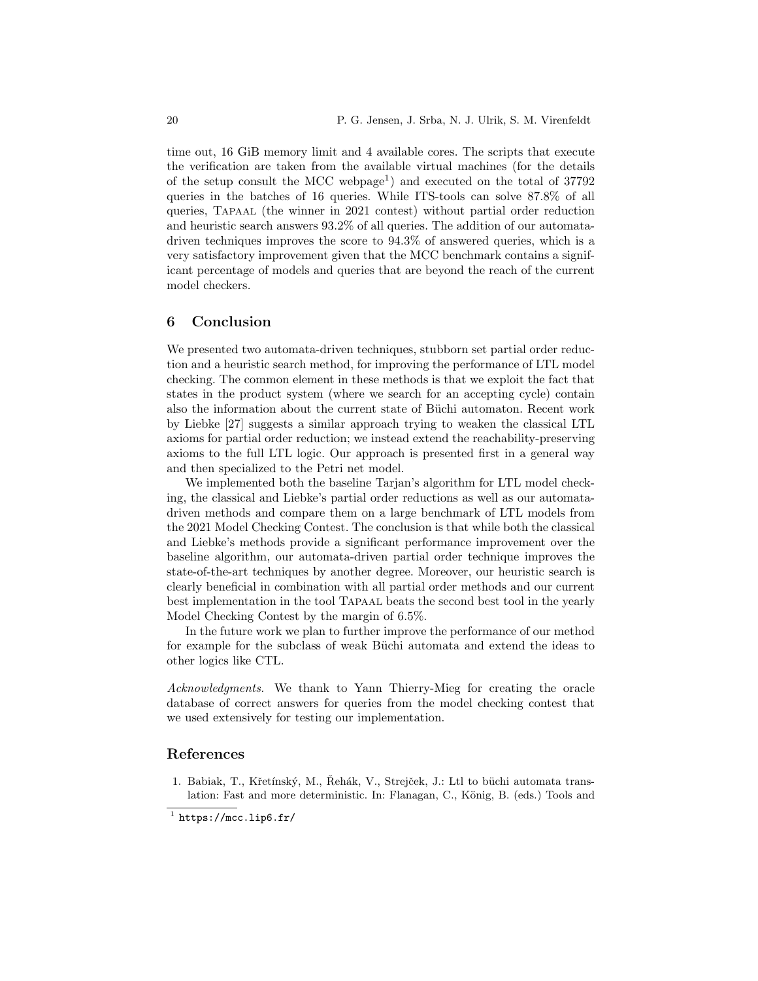time out, 16 GiB memory limit and 4 available cores. The scripts that execute the verification are taken from the available virtual machines (for the details of the setup consult the MCC webpage[1](#page-19-1) ) and executed on the total of 37792 queries in the batches of 16 queries. While ITS-tools can solve 87.8% of all queries, Tapaal (the winner in 2021 contest) without partial order reduction and heuristic search answers 93.2% of all queries. The addition of our automatadriven techniques improves the score to 94.3% of answered queries, which is a very satisfactory improvement given that the MCC benchmark contains a significant percentage of models and queries that are beyond the reach of the current model checkers.

## 6 Conclusion

We presented two automata-driven techniques, stubborn set partial order reduction and a heuristic search method, for improving the performance of LTL model checking. The common element in these methods is that we exploit the fact that states in the product system (where we search for an accepting cycle) contain also the information about the current state of Büchi automaton. Recent work by Liebke [\[27\]](#page-21-8) suggests a similar approach trying to weaken the classical LTL axioms for partial order reduction; we instead extend the reachability-preserving axioms to the full LTL logic. Our approach is presented first in a general way and then specialized to the Petri net model.

We implemented both the baseline Tarjan's algorithm for LTL model checking, the classical and Liebke's partial order reductions as well as our automatadriven methods and compare them on a large benchmark of LTL models from the 2021 Model Checking Contest. The conclusion is that while both the classical and Liebke's methods provide a significant performance improvement over the baseline algorithm, our automata-driven partial order technique improves the state-of-the-art techniques by another degree. Moreover, our heuristic search is clearly beneficial in combination with all partial order methods and our current best implementation in the tool Tapaal beats the second best tool in the yearly Model Checking Contest by the margin of 6.5%.

In the future work we plan to further improve the performance of our method for example for the subclass of weak Büchi automata and extend the ideas to other logics like CTL.

Acknowledgments. We thank to Yann Thierry-Mieg for creating the oracle database of correct answers for queries from the model checking contest that we used extensively for testing our implementation.

## References

<span id="page-19-0"></span>1. Babiak, T., Křetínský, M., Řehák, V., Strejček, J.: Ltl to büchi automata translation: Fast and more deterministic. In: Flanagan, C., König, B. (eds.) Tools and

<span id="page-19-1"></span> $<sup>1</sup>$  <https://mcc.lip6.fr/></sup>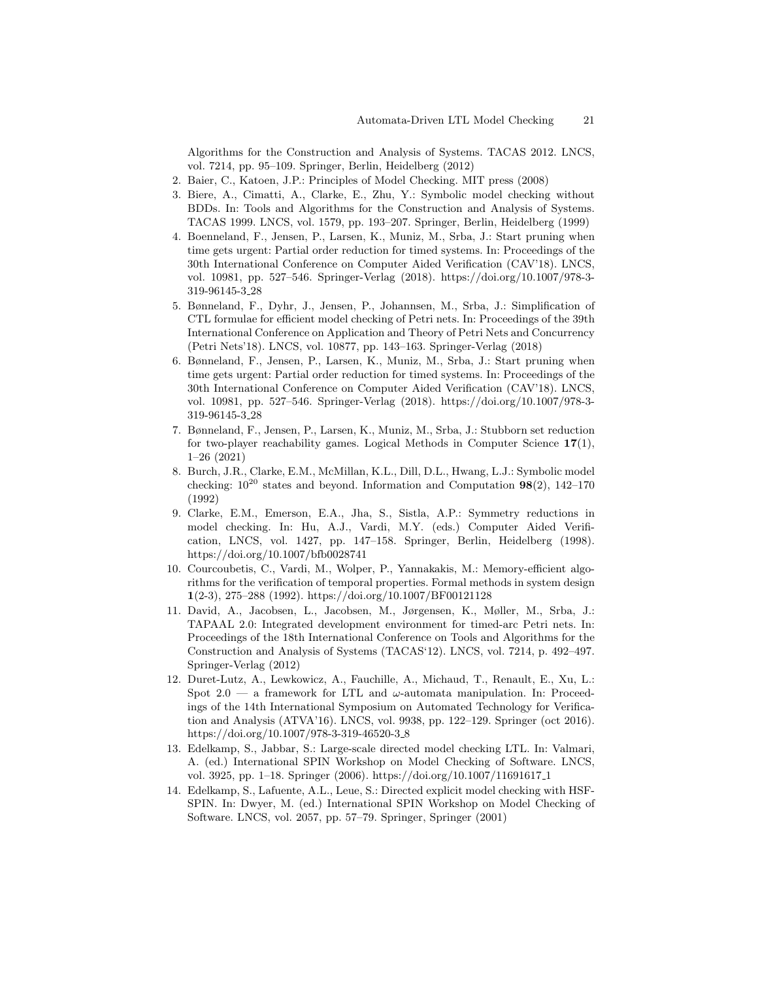Algorithms for the Construction and Analysis of Systems. TACAS 2012. LNCS, vol. 7214, pp. 95–109. Springer, Berlin, Heidelberg (2012)

- <span id="page-20-10"></span>2. Baier, C., Katoen, J.P.: Principles of Model Checking. MIT press (2008)
- <span id="page-20-0"></span>3. Biere, A., Cimatti, A., Clarke, E., Zhu, Y.: Symbolic model checking without BDDs. In: Tools and Algorithms for the Construction and Analysis of Systems. TACAS 1999. LNCS, vol. 1579, pp. 193–207. Springer, Berlin, Heidelberg (1999)
- <span id="page-20-4"></span>4. Boenneland, F., Jensen, P., Larsen, K., Muniz, M., Srba, J.: Start pruning when time gets urgent: Partial order reduction for timed systems. In: Proceedings of the 30th International Conference on Computer Aided Verification (CAV'18). LNCS, vol. 10981, pp. 527–546. Springer-Verlag (2018). [https://doi.org/10.1007/978-3-](https://doi.org/10.1007/978-3-319-96145-3_28) [319-96145-3](https://doi.org/10.1007/978-3-319-96145-3_28) 28
- <span id="page-20-12"></span>5. Bønneland, F., Dyhr, J., Jensen, P., Johannsen, M., Srba, J.: Simplification of CTL formulae for efficient model checking of Petri nets. In: Proceedings of the 39th International Conference on Application and Theory of Petri Nets and Concurrency (Petri Nets'18). LNCS, vol. 10877, pp. 143–163. Springer-Verlag (2018)
- <span id="page-20-8"></span>6. Bønneland, F., Jensen, P., Larsen, K., Muniz, M., Srba, J.: Start pruning when time gets urgent: Partial order reduction for timed systems. In: Proceedings of the 30th International Conference on Computer Aided Verification (CAV'18). LNCS, vol. 10981, pp. 527–546. Springer-Verlag (2018). [https://doi.org/10.1007/978-3-](https://doi.org/10.1007/978-3-319-96145-3_28) [319-96145-3](https://doi.org/10.1007/978-3-319-96145-3_28) 28
- <span id="page-20-9"></span>7. Bønneland, F., Jensen, P., Larsen, K., Muniz, M., Srba, J.: Stubborn set reduction for two-player reachability games. Logical Methods in Computer Science  $17(1)$ , 1–26 (2021)
- <span id="page-20-1"></span>8. Burch, J.R., Clarke, E.M., McMillan, K.L., Dill, D.L., Hwang, L.J.: Symbolic model checking:  $10^{20}$  states and beyond. Information and Computation 98(2), 142–170 (1992)
- <span id="page-20-3"></span>9. Clarke, E.M., Emerson, E.A., Jha, S., Sistla, A.P.: Symmetry reductions in model checking. In: Hu, A.J., Vardi, M.Y. (eds.) Computer Aided Verification, LNCS, vol. 1427, pp. 147–158. Springer, Berlin, Heidelberg (1998). <https://doi.org/10.1007/bfb0028741>
- <span id="page-20-6"></span>10. Courcoubetis, C., Vardi, M., Wolper, P., Yannakakis, M.: Memory-efficient algorithms for the verification of temporal properties. Formal methods in system design 1(2-3), 275–288 (1992).<https://doi.org/10.1007/BF00121128>
- <span id="page-20-5"></span>11. David, A., Jacobsen, L., Jacobsen, M., Jørgensen, K., Møller, M., Srba, J.: TAPAAL 2.0: Integrated development environment for timed-arc Petri nets. In: Proceedings of the 18th International Conference on Tools and Algorithms for the Construction and Analysis of Systems (TACAS'12). LNCS, vol. 7214, p. 492–497. Springer-Verlag (2012)
- <span id="page-20-11"></span>12. Duret-Lutz, A., Lewkowicz, A., Fauchille, A., Michaud, T., Renault, E., Xu, L.: Spot 2.0 — a framework for LTL and  $\omega$ -automata manipulation. In: Proceedings of the 14th International Symposium on Automated Technology for Verification and Analysis (ATVA'16). LNCS, vol. 9938, pp. 122–129. Springer (oct 2016). [https://doi.org/10.1007/978-3-319-46520-3](https://doi.org/10.1007/978-3-319-46520-3_8) 8
- <span id="page-20-7"></span>13. Edelkamp, S., Jabbar, S.: Large-scale directed model checking LTL. In: Valmari, A. (ed.) International SPIN Workshop on Model Checking of Software. LNCS, vol. 3925, pp. 1–18. Springer (2006). [https://doi.org/10.1007/11691617](https://doi.org/10.1007/11691617_1) 1
- <span id="page-20-2"></span>14. Edelkamp, S., Lafuente, A.L., Leue, S.: Directed explicit model checking with HSF-SPIN. In: Dwyer, M. (ed.) International SPIN Workshop on Model Checking of Software. LNCS, vol. 2057, pp. 57–79. Springer, Springer (2001)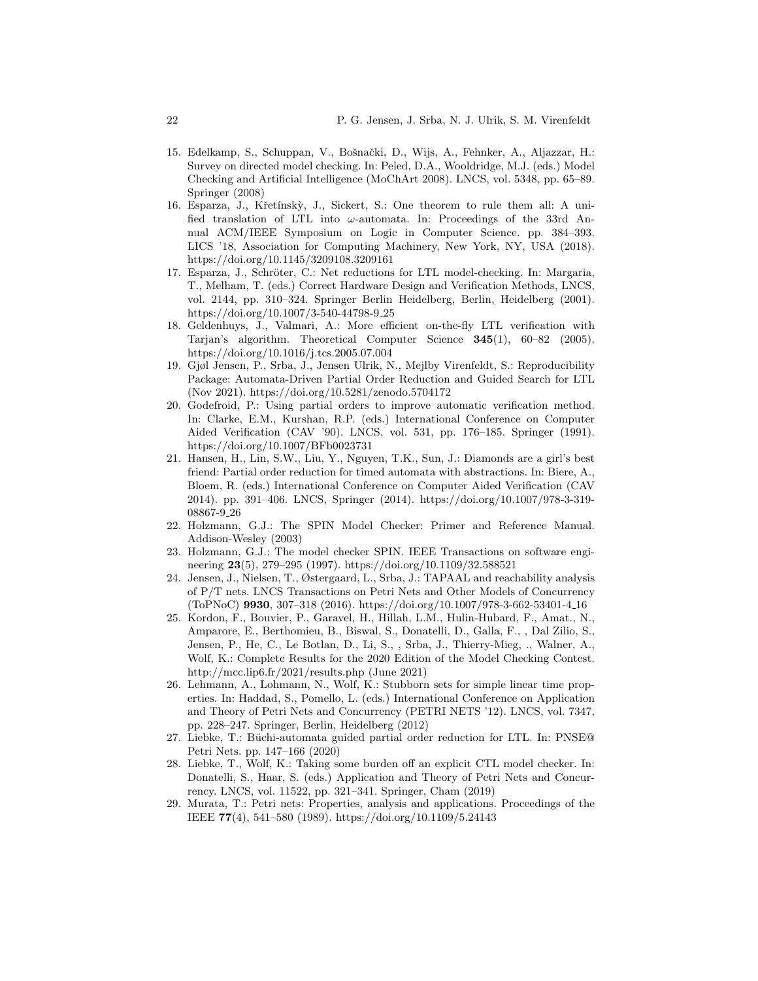- <span id="page-21-1"></span>15. Edelkamp, S., Schuppan, V., Bošnački, D., Wijs, A., Fehnker, A., Aljazzar, H.: Survey on directed model checking. In: Peled, D.A., Wooldridge, M.J. (eds.) Model Checking and Artificial Intelligence (MoChArt 2008). LNCS, vol. 5348, pp. 65–89. Springer (2008)
- <span id="page-21-7"></span>16. Esparza, J., Křetínský, J., Sickert, S.: One theorem to rule them all: A unified translation of LTL into  $\omega$ -automata. In: Proceedings of the 33rd Annual ACM/IEEE Symposium on Logic in Computer Science. pp. 384–393. LICS '18, Association for Computing Machinery, New York, NY, USA (2018). <https://doi.org/10.1145/3209108.3209161>
- <span id="page-21-2"></span>17. Esparza, J., Schröter, C.: Net reductions for LTL model-checking. In: Margaria, T., Melham, T. (eds.) Correct Hardware Design and Verification Methods, LNCS, vol. 2144, pp. 310–324. Springer Berlin Heidelberg, Berlin, Heidelberg (2001). [https://doi.org/10.1007/3-540-44798-9](https://doi.org/10.1007/3-540-44798-9_25) 25
- <span id="page-21-9"></span>18. Geldenhuys, J., Valmari, A.: More efficient on-the-fly LTL verification with Tarjan's algorithm. Theoretical Computer Science 345(1), 60–82 (2005). <https://doi.org/10.1016/j.tcs.2005.07.004>
- <span id="page-21-13"></span>19. Gjøl Jensen, P., Srba, J., Jensen Ulrik, N., Mejlby Virenfeldt, S.: Reproducibility Package: Automata-Driven Partial Order Reduction and Guided Search for LTL (Nov 2021).<https://doi.org/10.5281/zenodo.5704172>
- <span id="page-21-0"></span>20. Godefroid, P.: Using partial orders to improve automatic verification method. In: Clarke, E.M., Kurshan, R.P. (eds.) International Conference on Computer Aided Verification (CAV '90). LNCS, vol. 531, pp. 176–185. Springer (1991). <https://doi.org/10.1007/BFb0023731>
- <span id="page-21-12"></span>21. Hansen, H., Lin, S.W., Liu, Y., Nguyen, T.K., Sun, J.: Diamonds are a girl's best friend: Partial order reduction for timed automata with abstractions. In: Biere, A., Bloem, R. (eds.) International Conference on Computer Aided Verification (CAV 2014). pp. 391–406. LNCS, Springer (2014). [https://doi.org/10.1007/978-3-319-](https://doi.org/10.1007/978-3-319-08867-9_26) [08867-9](https://doi.org/10.1007/978-3-319-08867-9_26) 26
- <span id="page-21-4"></span>22. Holzmann, G.J.: The SPIN Model Checker: Primer and Reference Manual. Addison-Wesley (2003)
- <span id="page-21-5"></span>23. Holzmann, G.J.: The model checker SPIN. IEEE Transactions on software engineering 23(5), 279–295 (1997).<https://doi.org/10.1109/32.588521>
- <span id="page-21-10"></span>24. Jensen, J., Nielsen, T., Østergaard, L., Srba, J.: TAPAAL and reachability analysis of P/T nets. LNCS Transactions on Petri Nets and Other Models of Concurrency (ToPNoC) 9930, 307–318 (2016). [https://doi.org/10.1007/978-3-662-53401-4](https://doi.org/10.1007/978-3-662-53401-4_16) 16
- <span id="page-21-11"></span>25. Kordon, F., Bouvier, P., Garavel, H., Hillah, L.M., Hulin-Hubard, F., Amat., N., Amparore, E., Berthomieu, B., Biswal, S., Donatelli, D., Galla, F., , Dal Zilio, S., Jensen, P., He, C., Le Botlan, D., Li, S., , Srba, J., Thierry-Mieg, ., Walner, A., Wolf, K.: Complete Results for the 2020 Edition of the Model Checking Contest. http://mcc.lip6.fr/2021/results.php (June 2021)
- <span id="page-21-6"></span>26. Lehmann, A., Lohmann, N., Wolf, K.: Stubborn sets for simple linear time properties. In: Haddad, S., Pomello, L. (eds.) International Conference on Application and Theory of Petri Nets and Concurrency (PETRI NETS '12). LNCS, vol. 7347, pp. 228–247. Springer, Berlin, Heidelberg (2012)
- <span id="page-21-8"></span>27. Liebke, T.: Büchi-automata guided partial order reduction for LTL. In: PNSE<sup>®</sup> Petri Nets. pp. 147–166 (2020)
- <span id="page-21-14"></span>28. Liebke, T., Wolf, K.: Taking some burden off an explicit CTL model checker. In: Donatelli, S., Haar, S. (eds.) Application and Theory of Petri Nets and Concurrency. LNCS, vol. 11522, pp. 321–341. Springer, Cham (2019)
- <span id="page-21-3"></span>29. Murata, T.: Petri nets: Properties, analysis and applications. Proceedings of the IEEE 77(4), 541–580 (1989).<https://doi.org/10.1109/5.24143>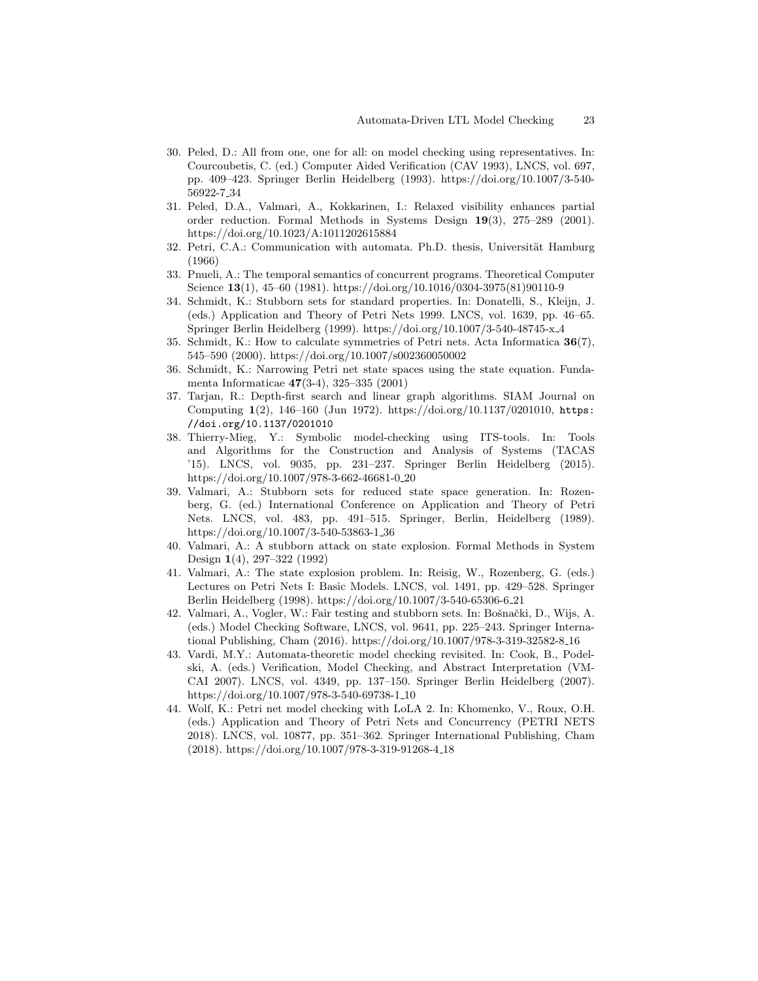- <span id="page-22-1"></span>30. Peled, D.: All from one, one for all: on model checking using representatives. In: Courcoubetis, C. (ed.) Computer Aided Verification (CAV 1993), LNCS, vol. 697, pp. 409–423. Springer Berlin Heidelberg (1993). [https://doi.org/10.1007/3-540-](https://doi.org/10.1007/3-540-56922-7_34) [56922-7](https://doi.org/10.1007/3-540-56922-7_34) 34
- <span id="page-22-11"></span>31. Peled, D.A., Valmari, A., Kokkarinen, I.: Relaxed visibility enhances partial order reduction. Formal Methods in Systems Design 19(3), 275–289 (2001). <https://doi.org/10.1023/A:1011202615884>
- <span id="page-22-0"></span>32. Petri, C.A.: Communication with automata. Ph.D. thesis, Universität Hamburg (1966)
- <span id="page-22-6"></span>33. Pnueli, A.: The temporal semantics of concurrent programs. Theoretical Computer Science 13(1), 45–60 (1981). [https://doi.org/10.1016/0304-3975\(81\)90110-9](https://doi.org/10.1016/0304-3975(81)90110-9)
- <span id="page-22-10"></span>34. Schmidt, K.: Stubborn sets for standard properties. In: Donatelli, S., Kleijn, J. (eds.) Application and Theory of Petri Nets 1999. LNCS, vol. 1639, pp. 46–65. Springer Berlin Heidelberg (1999). [https://doi.org/10.1007/3-540-48745-x](https://doi.org/10.1007/3-540-48745-x_4) 4
- <span id="page-22-3"></span>35. Schmidt, K.: How to calculate symmetries of Petri nets. Acta Informatica 36(7), 545–590 (2000).<https://doi.org/10.1007/s002360050002>
- <span id="page-22-12"></span>36. Schmidt, K.: Narrowing Petri net state spaces using the state equation. Fundamenta Informaticae 47(3-4), 325–335 (2001)
- <span id="page-22-14"></span>37. Tarjan, R.: Depth-first search and linear graph algorithms. SIAM Journal on Computing 1(2), 146–160 (Jun 1972). [https://doi.org/10.1137/0201010,](https://doi.org/10.1137/0201010) [https:](https://doi.org/10.1137/0201010) [//doi.org/10.1137/0201010](https://doi.org/10.1137/0201010)
- <span id="page-22-9"></span>38. Thierry-Mieg, Y.: Symbolic model-checking using ITS-tools. In: Tools and Algorithms for the Construction and Analysis of Systems (TACAS '15). LNCS, vol. 9035, pp. 231–237. Springer Berlin Heidelberg (2015). [https://doi.org/10.1007/978-3-662-46681-0](https://doi.org/10.1007/978-3-662-46681-0_20) 20
- <span id="page-22-2"></span>39. Valmari, A.: Stubborn sets for reduced state space generation. In: Rozenberg, G. (ed.) International Conference on Application and Theory of Petri Nets. LNCS, vol. 483, pp. 491–515. Springer, Berlin, Heidelberg (1989). [https://doi.org/10.1007/3-540-53863-1](https://doi.org/10.1007/3-540-53863-1_36) 36
- <span id="page-22-4"></span>40. Valmari, A.: A stubborn attack on state explosion. Formal Methods in System Design 1(4), 297–322 (1992)
- <span id="page-22-8"></span>41. Valmari, A.: The state explosion problem. In: Reisig, W., Rozenberg, G. (eds.) Lectures on Petri Nets I: Basic Models. LNCS, vol. 1491, pp. 429–528. Springer Berlin Heidelberg (1998). [https://doi.org/10.1007/3-540-65306-6](https://doi.org/10.1007/3-540-65306-6_21) 21
- <span id="page-22-13"></span>42. Valmari, A., Vogler, W.: Fair testing and stubborn sets. In: Bošnački, D., Wijs, A. (eds.) Model Checking Software, LNCS, vol. 9641, pp. 225–243. Springer International Publishing, Cham (2016). [https://doi.org/10.1007/978-3-319-32582-8](https://doi.org/10.1007/978-3-319-32582-8_16) 16
- <span id="page-22-7"></span>43. Vardi, M.Y.: Automata-theoretic model checking revisited. In: Cook, B., Podelski, A. (eds.) Verification, Model Checking, and Abstract Interpretation (VM-CAI 2007). LNCS, vol. 4349, pp. 137–150. Springer Berlin Heidelberg (2007). [https://doi.org/10.1007/978-3-540-69738-1](https://doi.org/10.1007/978-3-540-69738-1_10) 10
- <span id="page-22-5"></span>44. Wolf, K.: Petri net model checking with LoLA 2. In: Khomenko, V., Roux, O.H. (eds.) Application and Theory of Petri Nets and Concurrency (PETRI NETS 2018). LNCS, vol. 10877, pp. 351–362. Springer International Publishing, Cham (2018). [https://doi.org/10.1007/978-3-319-91268-4](https://doi.org/10.1007/978-3-319-91268-4_18) 18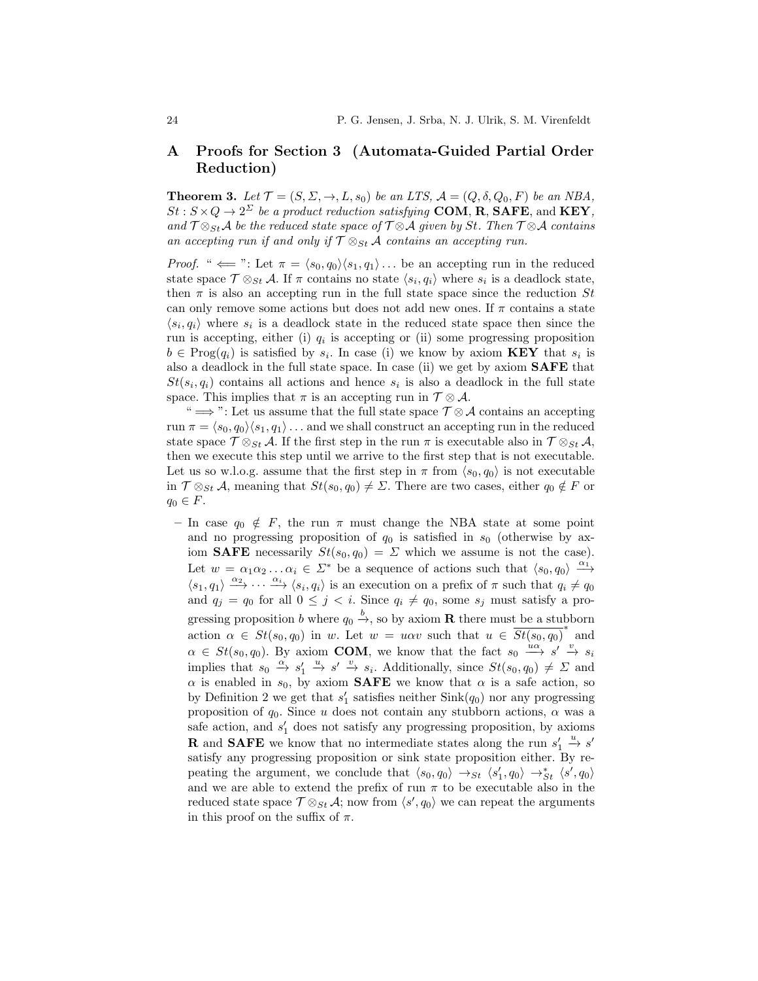# A Proofs for Section [3](#page-8-0) (Automata-Guided Partial Order Reduction)

**Theorem [3.](#page-10-2)** Let  $\mathcal{T} = (S, \Sigma, \rightarrow, L, s_0)$  be an LTS,  $\mathcal{A} = (Q, \delta, Q_0, F)$  be an NBA,  $St: S \times Q \rightarrow 2^{\Sigma}$  be a product reduction satisfying COM, R, SAFE, and KEY, and  $\mathcal{T} \otimes_{St} \mathcal{A}$  be the reduced state space of  $\mathcal{T} \otimes \mathcal{A}$  given by St. Then  $\mathcal{T} \otimes \mathcal{A}$  contains an accepting run if and only if  $\mathcal{T} \otimes_{St} \mathcal{A}$  contains an accepting run.

*Proof.* "  $\Longleftarrow$  ": Let  $\pi = \langle s_0, q_0 \rangle \langle s_1, q_1 \rangle \dots$  be an accepting run in the reduced state space  $\mathcal{T} \otimes_{St} \mathcal{A}$ . If  $\pi$  contains no state  $\langle s_i, q_i \rangle$  where  $s_i$  is a deadlock state, then  $\pi$  is also an accepting run in the full state space since the reduction St can only remove some actions but does not add new ones. If  $\pi$  contains a state  $\langle s_i, q_i \rangle$  where  $s_i$  is a deadlock state in the reduced state space then since the run is accepting, either (i)  $q_i$  is accepting or (ii) some progressing proposition  $b \in \text{Prog}(q_i)$  is satisfied by  $s_i$ . In case (i) we know by axiom **KEY** that  $s_i$  is also a deadlock in the full state space. In case (ii) we get by axiom SAFE that  $St(s_i, q_i)$  contains all actions and hence  $s_i$  is also a deadlock in the full state space. This implies that  $\pi$  is an accepting run in  $\mathcal{T} \otimes \mathcal{A}$ .

"  $\Rightarrow$ ": Let us assume that the full state space  $\mathcal{T} \otimes \mathcal{A}$  contains an accepting run  $\pi = \langle s_0, q_0 \rangle \langle s_1, q_1 \rangle \dots$  and we shall construct an accepting run in the reduced state space  $\mathcal{T} \otimes_{St} \mathcal{A}$ . If the first step in the run  $\pi$  is executable also in  $\mathcal{T} \otimes_{St} \mathcal{A}$ , then we execute this step until we arrive to the first step that is not executable. Let us so w.l.o.g. assume that the first step in  $\pi$  from  $\langle s_0, q_0 \rangle$  is not executable in  $\mathcal{T} \otimes_{St} \mathcal{A}$ , meaning that  $St(s_0, q_0) \neq \Sigma$ . There are two cases, either  $q_0 \notin F$  or  $q_0 \in F$ .

– In case  $q_0 \notin F$ , the run  $\pi$  must change the NBA state at some point and no progressing proposition of  $q_0$  is satisfied in  $s_0$  (otherwise by axiom **SAFE** necessarily  $St(s_0, q_0) = \Sigma$  which we assume is not the case). Let  $w = \alpha_1 \alpha_2 \ldots \alpha_i \in \Sigma^*$  be a sequence of actions such that  $\langle s_0, q_0 \rangle \stackrel{\alpha_1}{\longrightarrow}$  $\langle s_1, q_1 \rangle \stackrel{\alpha_2}{\longrightarrow} \cdots \stackrel{\alpha_i}{\longrightarrow} \langle s_i, q_i \rangle$  is an execution on a prefix of  $\pi$  such that  $q_i \neq q_0$ and  $q_j = q_0$  for all  $0 \leq j \leq i$ . Since  $q_i \neq q_0$ , some  $s_j$  must satisfy a progressing proposition b where  $q_0 \stackrel{b}{\rightarrow}$ , so by axiom **R** there must be a stubborn action  $\alpha \in St(s_0, q_0)$  in w. Let  $w = u \alpha v$  such that  $u \in \overline{St(s_0, q_0)}^*$  and  $\alpha \in St(s_0, q_0)$ . By axiom **COM**, we know that the fact  $s_0 \stackrel{u\alpha}{\longrightarrow} s' \stackrel{v}{\rightarrow} s_i$ implies that  $s_0 \stackrel{\alpha}{\to} s'_1 \stackrel{u}{\to} s' \stackrel{v}{\to} s_i$ . Additionally, since  $St(s_0, q_0) \neq \Sigma$  and  $\alpha$  is enabled in s<sub>0</sub>, by axiom **SAFE** we know that  $\alpha$  is a safe action, so by [Definition 2](#page-8-1) we get that  $s'_1$  satisfies neither  $\text{Sink}(q_0)$  nor any progressing proposition of  $q_0$ . Since u does not contain any stubborn actions,  $\alpha$  was a safe action, and  $s'_1$  does not satisfy any progressing proposition, by axioms **R** and **SAFE** we know that no intermediate states along the run  $s'_1 \stackrel{u}{\rightarrow} s'$ satisfy any progressing proposition or sink state proposition either. By repeating the argument, we conclude that  $\langle s_0, q_0 \rangle \to_{St} \langle s_1', q_0 \rangle \to_{St}^* \langle s', q_0 \rangle$ and we are able to extend the prefix of run  $\pi$  to be executable also in the reduced state space  $\mathcal{T} \otimes_{St} \mathcal{A}$ ; now from  $\langle s', q_0 \rangle$  we can repeat the arguments in this proof on the suffix of  $\pi$ .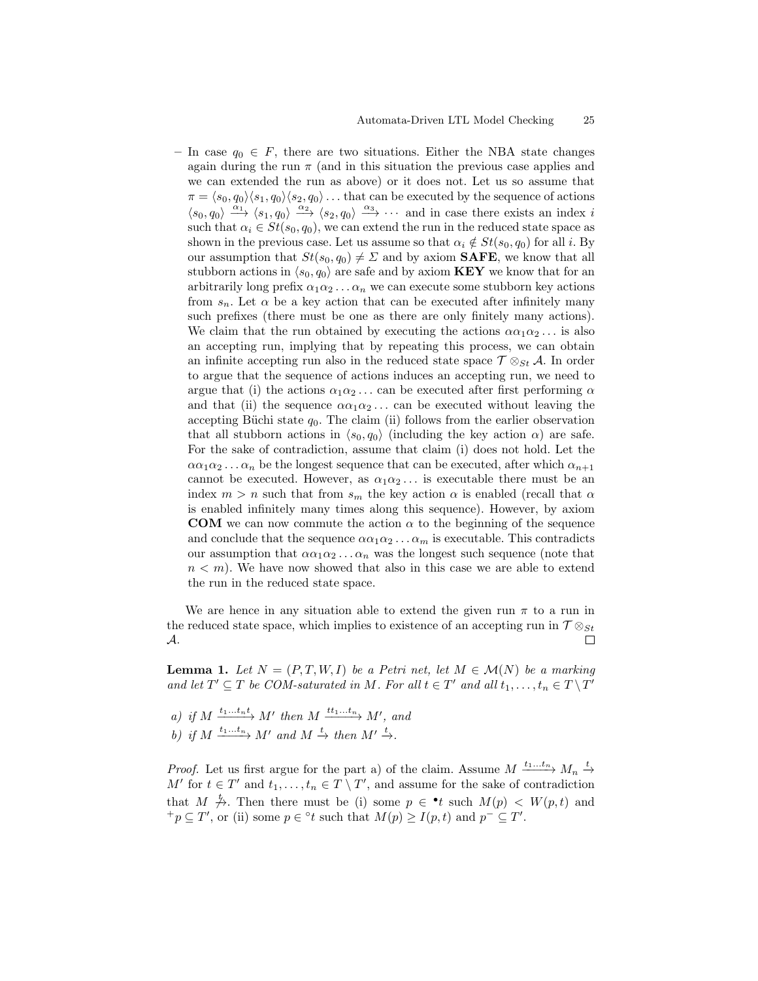– In case  $q_0 \in F$ , there are two situations. Either the NBA state changes again during the run  $\pi$  (and in this situation the previous case applies and we can extended the run as above) or it does not. Let us so assume that  $\pi = \langle s_0, q_0 \rangle \langle s_1, q_0 \rangle \langle s_2, q_0 \rangle \dots$  that can be executed by the sequence of actions  $\langle s_0, q_0 \rangle \stackrel{\alpha_1}{\longrightarrow} \langle s_1, q_0 \rangle \stackrel{\alpha_2}{\longrightarrow} \langle s_2, q_0 \rangle \stackrel{\alpha_3}{\longrightarrow} \cdots$  and in case there exists an index i such that  $\alpha_i \in St(s_0, q_0)$ , we can extend the run in the reduced state space as shown in the previous case. Let us assume so that  $\alpha_i \notin St(s_0, q_0)$  for all i. By our assumption that  $St(s_0, q_0) \neq \Sigma$  and by axiom **SAFE**, we know that all stubborn actions in  $\langle s_0, q_0 \rangle$  are safe and by axiom **KEY** we know that for an arbitrarily long prefix  $\alpha_1 \alpha_2 \ldots \alpha_n$  we can execute some stubborn key actions from  $s_n$ . Let  $\alpha$  be a key action that can be executed after infinitely many such prefixes (there must be one as there are only finitely many actions). We claim that the run obtained by executing the actions  $\alpha \alpha_1 \alpha_2 \ldots$  is also an accepting run, implying that by repeating this process, we can obtain an infinite accepting run also in the reduced state space  $\mathcal{T} \otimes_{St} \mathcal{A}$ . In order to argue that the sequence of actions induces an accepting run, we need to argue that (i) the actions  $\alpha_1 \alpha_2 \ldots$  can be executed after first performing  $\alpha$ and that (ii) the sequence  $\alpha \alpha_1 \alpha_2 \ldots$  can be executed without leaving the accepting Büchi state  $q_0$ . The claim (ii) follows from the earlier observation that all stubborn actions in  $\langle s_0, q_0 \rangle$  (including the key action  $\alpha$ ) are safe. For the sake of contradiction, assume that claim (i) does not hold. Let the  $\alpha\alpha_1\alpha_2 \ldots \alpha_n$  be the longest sequence that can be executed, after which  $\alpha_{n+1}$ cannot be executed. However, as  $\alpha_1 \alpha_2 \ldots$  is executable there must be an index  $m > n$  such that from  $s_m$  the key action  $\alpha$  is enabled (recall that  $\alpha$ is enabled infinitely many times along this sequence). However, by axiom COM we can now commute the action  $\alpha$  to the beginning of the sequence and conclude that the sequence  $\alpha \alpha_1 \alpha_2 \ldots \alpha_m$  is executable. This contradicts our assumption that  $\alpha \alpha_1 \alpha_2 \ldots \alpha_n$  was the longest such sequence (note that  $n < m$ ). We have now showed that also in this case we are able to extend the run in the reduced state space.

We are hence in any situation able to extend the given run  $\pi$  to a run in the reduced state space, which implies to existence of an accepting run in  $\mathcal{T} \otimes_{St}$ A.  $\Box$ 

**Lemma [1.](#page-10-1)** Let  $N = (P, T, W, I)$  be a Petri net, let  $M \in \mathcal{M}(N)$  be a marking and let  $T' \subseteq T$  be COM-saturated in M. For all  $t \in T'$  and all  $t_1, \ldots, t_n \in T \setminus T'$ 

a) if  $M \xrightarrow{t_1...t_n t} M'$  then  $M \xrightarrow{tt_1...t_n} M'$ , and b) if  $M \xrightarrow{t_1...t_n} M'$  and  $M \xrightarrow{t}$  then  $M' \xrightarrow{t}$ .

*Proof.* Let us first argue for the part a) of the claim. Assume  $M \xrightarrow{t_1...t_n} M_n \xrightarrow{t}$  $M'$  for  $t \in T'$  and  $t_1, \ldots, t_n \in T \setminus T'$ , and assume for the sake of contradiction that  $M \nightharpoonup^t$ . Then there must be (i) some  $p \in \cdot^t t$  such  $M(p) \lt W(p, t)$  and <sup>+</sup> $p \subseteq T'$ , or (ii) some  $p \in \text{°}t$  such that  $M(p) \ge I(p, t)$  and  $p^{-} \subseteq T'$ .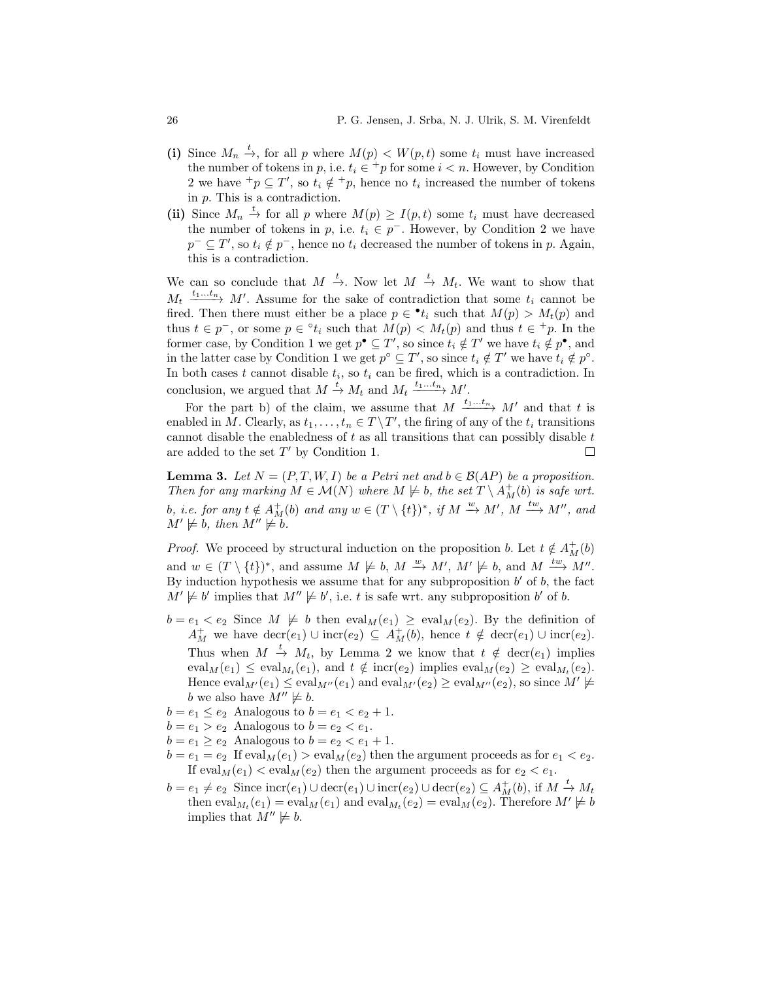- (i) Since  $M_n \xrightarrow{t}$ , for all p where  $M(p) < W(p, t)$  some  $t_i$  must have increased the number of tokens in p, i.e.  $t_i \in {}^+p$  for some  $i < n$ . However, by Condition 2 we have  $^+p \subseteq T'$ , so  $t_i \notin {}^+p$ , hence no  $t_i$  increased the number of tokens in p. This is a contradiction.
- (ii) Since  $M_n \stackrel{t}{\rightarrow}$  for all p where  $M(p) \geq I(p, t)$  some  $t_i$  must have decreased the number of tokens in  $p$ , i.e.  $t_i \in p^-$ . However, by Condition 2 we have  $p^- \subseteq T'$ , so  $t_i \notin p^-$ , hence no  $t_i$  decreased the number of tokens in p. Again, this is a contradiction.

We can so conclude that  $M \xrightarrow{t} N$  Now let  $M \xrightarrow{t} M_t$ . We want to show that  $M_t \xrightarrow{t_1...t_n} M'.$  Assume for the sake of contradiction that some  $t_i$  cannot be fired. Then there must either be a place  $p \in \cdot t_i$  such that  $M(p) > M_t(p)$  and thus  $t \in p^-$ , or some  $p \in {}^{\circ}t_i$  such that  $M(p) < M_t(p)$  and thus  $t \in {}^+p$ . In the former case, by Condition 1 we get  $p^{\bullet} \subseteq T'$ , so since  $t_i \notin T'$  we have  $t_i \notin p^{\bullet}$ , and in the latter case by Condition 1 we get  $p^{\circ} \subseteq T'$ , so since  $t_i \notin T'$  we have  $t_i \notin p^{\circ}$ . In both cases  $t$  cannot disable  $t_i$ , so  $t_i$  can be fired, which is a contradiction. In conclusion, we argued that  $M \xrightarrow{t} M_t$  and  $M_t \xrightarrow{t_1...t_n} M'.$ 

For the part b) of the claim, we assume that  $M \xrightarrow{t_1...t_n} M'$  and that t is enabled in M. Clearly, as  $t_1, \ldots, t_n \in T \backslash T'$ , the firing of any of the  $t_i$  transitions cannot disable the enabledness of  $t$  as all transitions that can possibly disable  $t$ are added to the set  $T'$  by Condition 1.  $\Box$ 

**Lemma [3.](#page-12-0)** Let  $N = (P, T, W, I)$  be a Petri net and  $b \in \mathcal{B}(AP)$  be a proposition. Then for any marking  $M \in \mathcal{M}(N)$  where  $M \not\models b$ , the set  $T \setminus A_M^+(b)$  is safe wrt. b, i.e. for any  $t \notin A_M^+(b)$  and any  $w \in (T \setminus \{t\})^*$ , if  $M \xrightarrow{w} M'$ ,  $M \xrightarrow{tw} M''$ , and  $M' \not\models b$ , then  $M'' \not\models b$ .

*Proof.* We proceed by structural induction on the proposition b. Let  $t \notin A^M_M(b)$ and  $w \in (T \setminus \{t\})^*$ , and assume  $M \not\models b$ ,  $M \xrightarrow{w} M'$ ,  $M' \not\models b$ , and  $M \xrightarrow{tw} M''$ . By induction hypothesis we assume that for any subproposition  $b'$  of  $b$ , the fact  $M' \not\models b'$  implies that  $M'' \not\models b'$ , i.e. t is safe wrt. any subproposition b' of b.

- $b = e_1 < e_2$  Since  $M \not\models b$  then  $eval_M(e_1) \ge eval_M(e_2)$ . By the definition of  $A_M^+$  we have  $\text{decr}(e_1) \cup \text{incr}(e_2) \subseteq A_M^+(b)$ , hence  $t \notin \text{decr}(e_1) \cup \text{incr}(e_2)$ . Thus when  $M \stackrel{t}{\rightarrow} M_t$ , by [Lemma 2](#page-11-0) we know that  $t \notin \text{decr}(e_1)$  implies  $eval_M(e_1) \le \text{eval}_{M_t}(e_1), \text{ and } t \notin \text{incr}(e_2) \text{ implies } eval_M(e_2) \ge \text{eval}_{M_t}(e_2).$ Hence  $eval_{M'}(e_1) \le eval_{M''}(e_1)$  and  $eval_{M'}(e_2) \ge eval_{M''}(e_2)$ , so since  $M' \not\models$ b we also have  $M'' \not\models b$ .
- $b = e_1 \le e_2$  Analogous to  $b = e_1 < e_2 + 1$ .
- $b = e_1 > e_2$  Analogous to  $b = e_2 < e_1$ .
- $b = e_1 \ge e_2$  Analogous to  $b = e_2 < e_1 + 1$ .
- $b = e_1 = e_2$  If  $eval_M(e_1) > eval_M(e_2)$  then the argument proceeds as for  $e_1 < e_2$ . If  $eval_M(e_1) < eval_M(e_2)$  then the argument proceeds as for  $e_2 < e_1$ .
- $b = e_1 \neq e_2$  Since  $\text{incr}(e_1) \cup \text{decr}(e_1) \cup \text{incr}(e_2) \cup \text{decr}(e_2) \subseteq A_M^+(b)$ , if  $M \stackrel{t}{\rightarrow} M_t$ then  $eval_{M_t}(e_1) = eval_M(e_1)$  and  $eval_{M_t}(e_2) = eval_M(e_2)$ . Therefore  $M' \not\models b$ implies that  $M'' \not\models b$ .